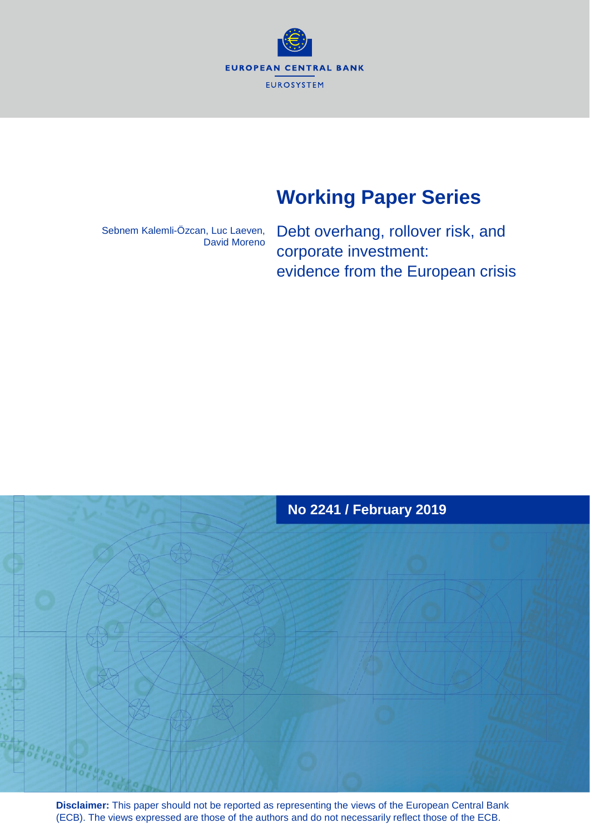**EUROPEAN CENTRAL BANK** EUROSYSTEM

# **Working Paper Series**

Sebnem Kalemli-Özcan, Luc Laeven, David Moreno Debt overhang, rollover risk, and corporate investment: evidence from the European crisis



**Disclaimer:** This paper should not be reported as representing the views of the European Central Bank (ECB). The views expressed are those of the authors and do not necessarily reflect those of the ECB.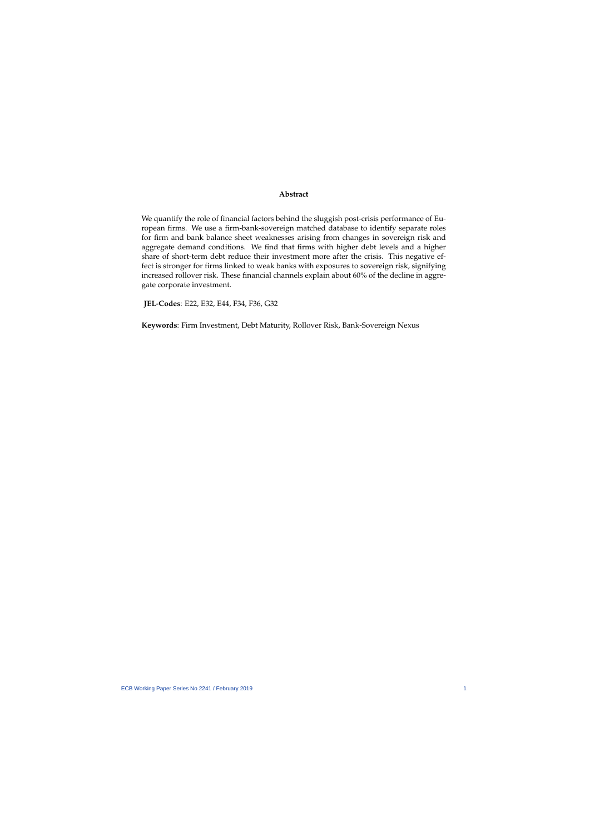#### **Abstract**

<span id="page-1-0"></span>We quantify the role of financial factors behind the sluggish post-crisis performance of European firms. We use a firm-bank-sovereign matched database to identify separate roles for firm and bank balance sheet weaknesses arising from changes in sovereign risk and aggregate demand conditions. We find that firms with higher debt levels and a higher share of short-term debt reduce their investment more after the crisis. This negative effect is stronger for firms linked to weak banks with exposures to sovereign risk, signifying increased rollover risk. These financial channels explain about 60% of the decline in aggregate corporate investment.

**JEL-Codes**: E22, E32, E44, F34, F36, G32

**Keywords**: Firm Investment, Debt Maturity, Rollover Risk, Bank-Sovereign Nexus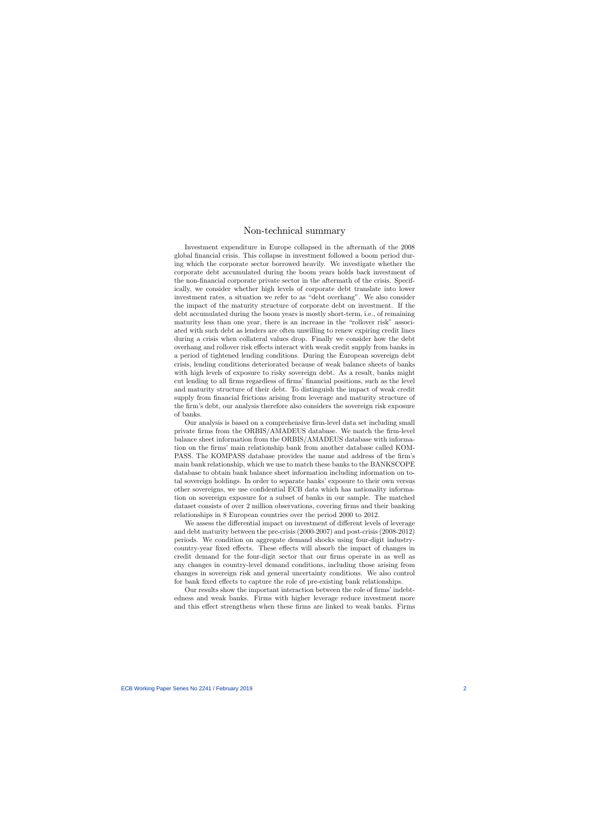### Non-technical summary

Investment expenditure in Europe collapsed in the aftermath of the 2008 global financial crisis. This collapse in investment followed a boom period during which the corporate sector borrowed heavily. We investigate whether the corporate debt accumulated during the boom years holds back investment of the non-Önancial corporate private sector in the aftermath of the crisis. Specifically, we consider whether high levels of corporate debt translate into lower investment rates, a situation we refer to as "debt overhang". We also consider the impact of the maturity structure of corporate debt on investment. If the debt accumulated during the boom years is mostly short-term, i.e., of remaining maturity less than one year, there is an increase in the "rollover risk" associated with such debt as lenders are often unwilling to renew expiring credit lines during a crisis when collateral values drop. Finally we consider how the debt overhang and rollover risk effects interact with weak credit supply from banks in a period of tightened lending conditions. During the European sovereign debt crisis, lending conditions deteriorated because of weak balance sheets of banks with high levels of exposure to risky sovereign debt. As a result, banks might cut lending to all firms regardless of firms' financial positions, such as the level and maturity structure of their debt. To distinguish the impact of weak credit supply from financial frictions arising from leverage and maturity structure of the firm's debt, our analysis therefore also considers the sovereign risk exposure of banks.

Our analysis is based on a comprehensive Örm-level data set including small private firms from the ORBIS/AMADEUS database. We match the firm-level balance sheet information from the ORBIS/AMADEUS database with information on the firms' main relationship bank from another database called KOM-PASS. The KOMPASS database provides the name and address of the firm's main bank relationship, which we use to match these banks to the BANKSCOPE database to obtain bank balance sheet information including information on total sovereign holdings. In order to separate banks' exposure to their own versus other sovereigns, we use confidential ECB data which has nationality information on sovereign exposure for a subset of banks in our sample. The matched dataset consists of over 2 million observations, covering firms and their banking relationships in 8 European countries over the period 2000 to 2012.

We assess the differential impact on investment of different levels of leverage and debt maturity between the pre-crisis (2000-2007) and post-crisis (2008-2012) periods. We condition on aggregate demand shocks using four-digit industrycountry-year fixed effects. These effects will absorb the impact of changes in credit demand for the four-digit sector that our firms operate in as well as any changes in country-level demand conditions, including those arising from changes in sovereign risk and general uncertainty conditions. We also control for bank fixed effects to capture the role of pre-existing bank relationships.

Our results show the important interaction between the role of firms' indebtedness and weak banks. Firms with higher leverage reduce investment more and this effect strengthens when these firms are linked to weak banks. Firms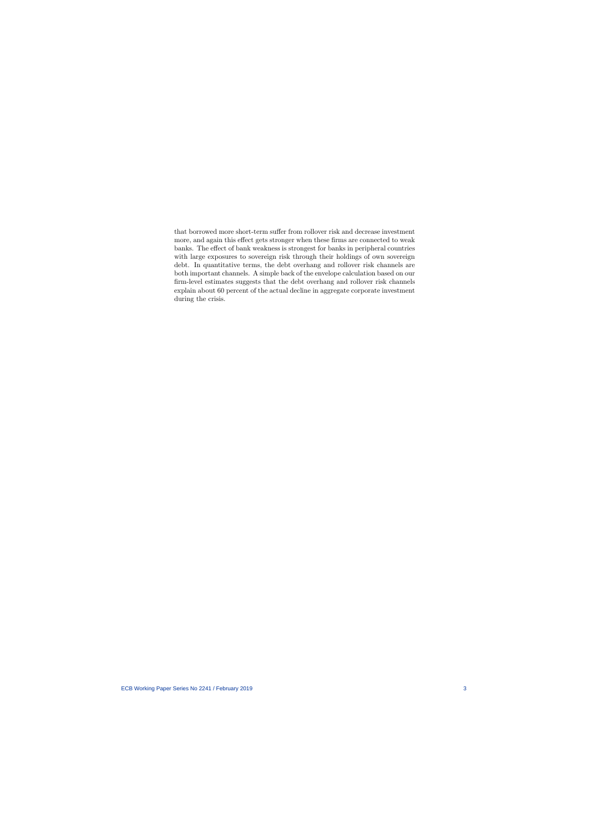that borrowed more short-term suffer from rollover risk and decrease investment more, and again this effect gets stronger when these firms are connected to weak banks. The effect of bank weakness is strongest for banks in peripheral countries with large exposures to sovereign risk through their holdings of own sovereign debt. In quantitative terms, the debt overhang and rollover risk channels are both important channels. A simple back of the envelope calculation based on our firm-level estimates suggests that the debt overhang and rollover risk channels explain about 60 percent of the actual decline in aggregate corporate investment during the crisis.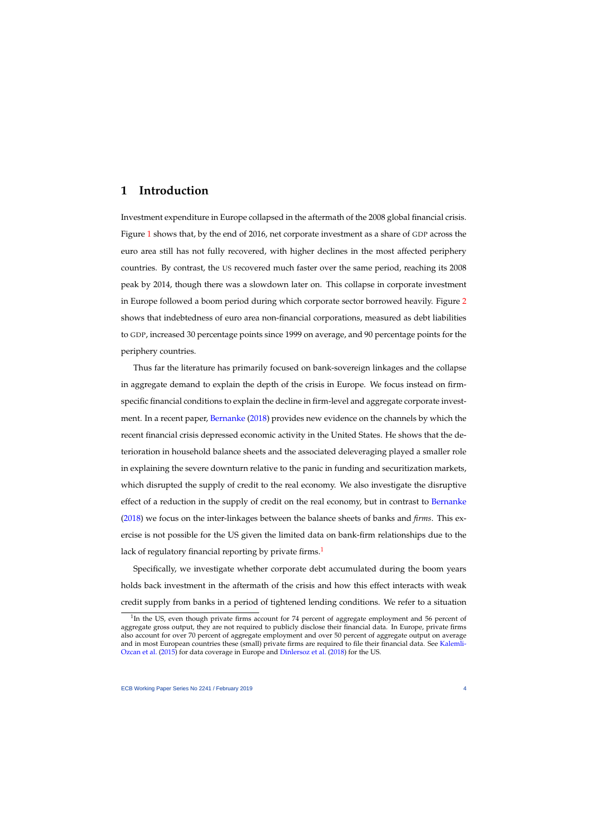# **1 Introduction**

Investment expenditure in Europe collapsed in the aftermath of the 2008 global financial crisis. Figure [1](#page-5-0) shows that, by the end of 2016, net corporate investment as a share of GDP across the euro area still has not fully recovered, with higher declines in the most affected periphery countries. By contrast, the US recovered much faster over the same period, reaching its 2008 peak by 2014, though there was a slowdown later on. This collapse in corporate investment in Europe followed a boom period during which corporate sector borrowed heavily. Figure [2](#page-6-0) shows that indebtedness of euro area non-financial corporations, measured as debt liabilities to GDP, increased 30 percentage points since 1999 on average, and 90 percentage points for the periphery countries.

Thus far the literature has primarily focused on bank-sovereign linkages and the collapse in aggregate demand to explain the depth of the crisis in Europe. We focus instead on firmspecific financial conditions to explain the decline in firm-level and aggregate corporate investment. In a recent paper, [Bernanke](#page-41-0) [\(2018\)](#page-41-0) provides new evidence on the channels by which the recent financial crisis depressed economic activity in the United States. He shows that the deterioration in household balance sheets and the associated deleveraging played a smaller role in explaining the severe downturn relative to the panic in funding and securitization markets, which disrupted the supply of credit to the real economy. We also investigate the disruptive effect of a reduction in the supply of credit on the real economy, but in contrast to [Bernanke](#page-41-0) [\(2018\)](#page-41-0) we focus on the inter-linkages between the balance sheets of banks and *firms*. This exercise is not possible for the US given the limited data on bank-firm relationships due to the lack of regulatory financial reporting by private firms.<sup>[1](#page-1-0)</sup>

Specifically, we investigate whether corporate debt accumulated during the boom years holds back investment in the aftermath of the crisis and how this effect interacts with weak credit supply from banks in a period of tightened lending conditions. We refer to a situation

<sup>&</sup>lt;sup>1</sup>In the US, even though private firms account for 74 percent of aggregate employment and 56 percent of aggregate gross output, they are not required to publicly disclose their financial data. In Europe, private firms also account for over 70 percent of aggregate employment and over 50 percent of aggregate output on average and in most European countries these (small) private firms are required to file their financial data. See [Kalemli-](#page-43-0)[Ozcan et al.](#page-43-0) [\(2015\)](#page-43-0) for data coverage in Europe and [Dinlersoz et al.](#page-42-0) [\(2018\)](#page-42-0) for the US.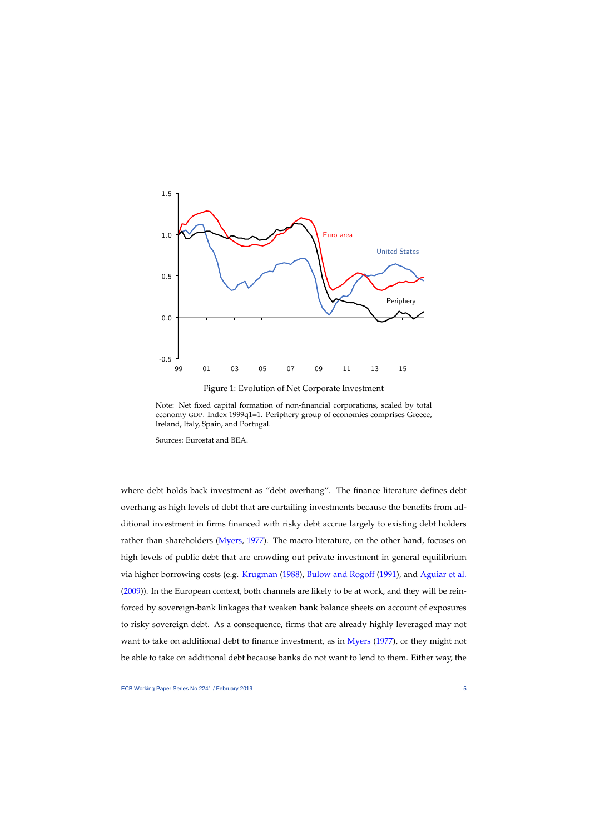

Figure 1: Evolution of Net Corporate Investment

<span id="page-5-0"></span>Note: Net fixed capital formation of non-financial corporations, scaled by total economy GDP. Index 1999q1=1. Periphery group of economies comprises Greece, Ireland, Italy, Spain, and Portugal.

Sources: Eurostat and BEA.

where debt holds back investment as "debt overhang". The finance literature defines debt overhang as high levels of debt that are curtailing investments because the benefits from additional investment in firms financed with risky debt accrue largely to existing debt holders rather than shareholders [\(Myers,](#page-43-1) [1977\)](#page-43-1). The macro literature, on the other hand, focuses on high levels of public debt that are crowding out private investment in general equilibrium via higher borrowing costs (e.g. [Krugman](#page-43-2) [\(1988\)](#page-43-2), [Bulow and Rogoff](#page-41-1) [\(1991\)](#page-41-1), and [Aguiar et al.](#page-41-2) [\(2009\)](#page-41-2)). In the European context, both channels are likely to be at work, and they will be reinforced by sovereign-bank linkages that weaken bank balance sheets on account of exposures to risky sovereign debt. As a consequence, firms that are already highly leveraged may not want to take on additional debt to finance investment, as in [Myers](#page-43-1) [\(1977\)](#page-43-1), or they might not be able to take on additional debt because banks do not want to lend to them. Either way, the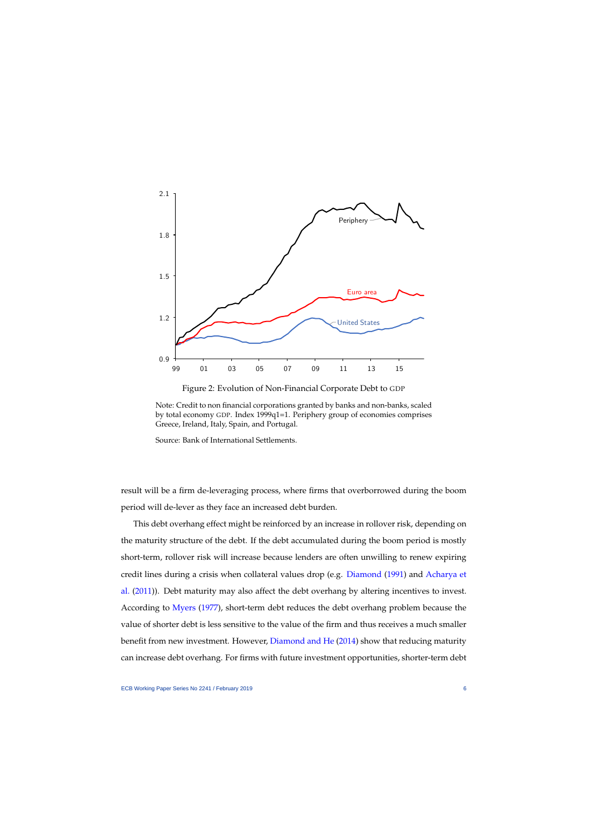

Figure 2: Evolution of Non-Financial Corporate Debt to GDP

<span id="page-6-0"></span>Note: Credit to non financial corporations granted by banks and non-banks, scaled by total economy GDP. Index 1999q1=1. Periphery group of economies comprises Greece, Ireland, Italy, Spain, and Portugal.

Source: Bank of International Settlements.

result will be a firm de-leveraging process, where firms that overborrowed during the boom period will de-lever as they face an increased debt burden.

This debt overhang effect might be reinforced by an increase in rollover risk, depending on the maturity structure of the debt. If the debt accumulated during the boom period is mostly short-term, rollover risk will increase because lenders are often unwilling to renew expiring credit lines during a crisis when collateral values drop (e.g. [Diamond](#page-42-1) [\(1991\)](#page-42-1) and [Acharya et](#page-41-3) [al.](#page-41-3) [\(2011\)](#page-41-3)). Debt maturity may also affect the debt overhang by altering incentives to invest. According to [Myers](#page-43-1) [\(1977\)](#page-43-1), short-term debt reduces the debt overhang problem because the value of shorter debt is less sensitive to the value of the firm and thus receives a much smaller benefit from new investment. However, [Diamond and He](#page-42-2) [\(2014\)](#page-42-2) show that reducing maturity can increase debt overhang. For firms with future investment opportunities, shorter-term debt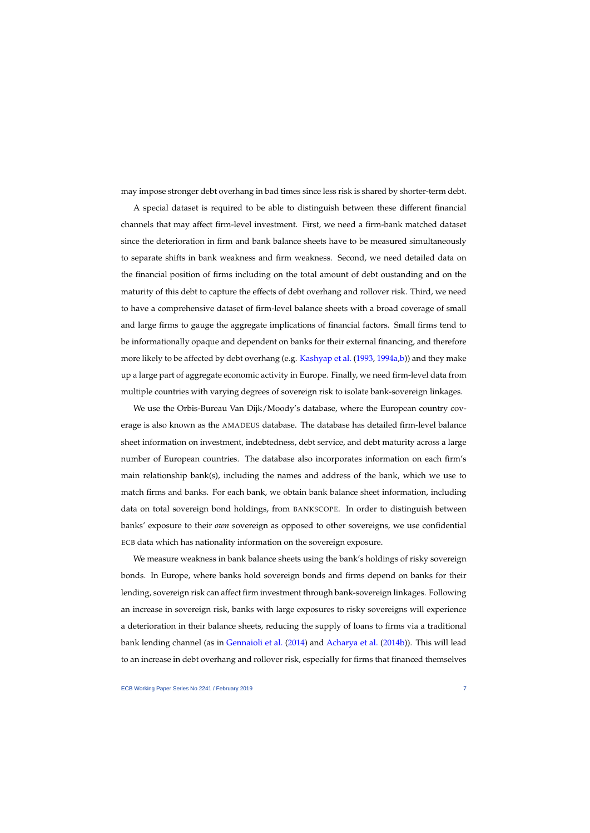may impose stronger debt overhang in bad times since less risk is shared by shorter-term debt.

A special dataset is required to be able to distinguish between these different financial channels that may affect firm-level investment. First, we need a firm-bank matched dataset since the deterioration in firm and bank balance sheets have to be measured simultaneously to separate shifts in bank weakness and firm weakness. Second, we need detailed data on the financial position of firms including on the total amount of debt oustanding and on the maturity of this debt to capture the effects of debt overhang and rollover risk. Third, we need to have a comprehensive dataset of firm-level balance sheets with a broad coverage of small and large firms to gauge the aggregate implications of financial factors. Small firms tend to be informationally opaque and dependent on banks for their external financing, and therefore more likely to be affected by debt overhang (e.g. [Kashyap et al.](#page-43-3) [\(1993,](#page-43-3) [1994a,](#page-43-4)[b\)](#page-43-5)) and they make up a large part of aggregate economic activity in Europe. Finally, we need firm-level data from multiple countries with varying degrees of sovereign risk to isolate bank-sovereign linkages.

We use the Orbis-Bureau Van Dijk/Moody's database, where the European country coverage is also known as the AMADEUS database. The database has detailed firm-level balance sheet information on investment, indebtedness, debt service, and debt maturity across a large number of European countries. The database also incorporates information on each firm's main relationship bank(s), including the names and address of the bank, which we use to match firms and banks. For each bank, we obtain bank balance sheet information, including data on total sovereign bond holdings, from BANKSCOPE. In order to distinguish between banks' exposure to their *own* sovereign as opposed to other sovereigns, we use confidential ECB data which has nationality information on the sovereign exposure.

We measure weakness in bank balance sheets using the bank's holdings of risky sovereign bonds. In Europe, where banks hold sovereign bonds and firms depend on banks for their lending, sovereign risk can affect firm investment through bank-sovereign linkages. Following an increase in sovereign risk, banks with large exposures to risky sovereigns will experience a deterioration in their balance sheets, reducing the supply of loans to firms via a traditional bank lending channel (as in [Gennaioli et al.](#page-42-3) [\(2014\)](#page-42-3) and [Acharya et al.](#page-41-4) [\(2014b\)](#page-41-4)). This will lead to an increase in debt overhang and rollover risk, especially for firms that financed themselves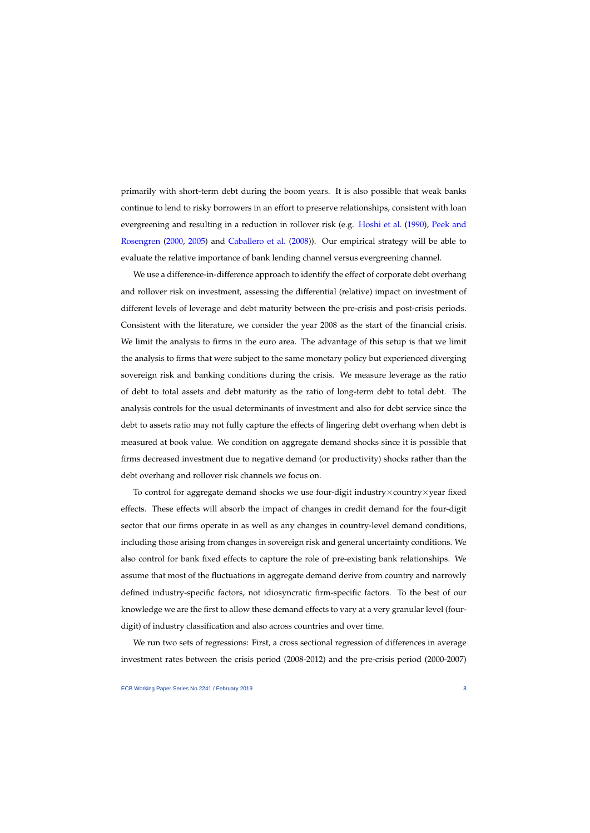primarily with short-term debt during the boom years. It is also possible that weak banks continue to lend to risky borrowers in an effort to preserve relationships, consistent with loan evergreening and resulting in a reduction in rollover risk (e.g. [Hoshi et al.](#page-42-4) [\(1990\)](#page-42-4), [Peek and](#page-43-6) [Rosengren](#page-43-6) [\(2000,](#page-43-6) [2005\)](#page-43-7) and [Caballero et al.](#page-41-5) [\(2008\)](#page-41-5)). Our empirical strategy will be able to evaluate the relative importance of bank lending channel versus evergreening channel.

We use a difference-in-difference approach to identify the effect of corporate debt overhang and rollover risk on investment, assessing the differential (relative) impact on investment of different levels of leverage and debt maturity between the pre-crisis and post-crisis periods. Consistent with the literature, we consider the year 2008 as the start of the financial crisis. We limit the analysis to firms in the euro area. The advantage of this setup is that we limit the analysis to firms that were subject to the same monetary policy but experienced diverging sovereign risk and banking conditions during the crisis. We measure leverage as the ratio of debt to total assets and debt maturity as the ratio of long-term debt to total debt. The analysis controls for the usual determinants of investment and also for debt service since the debt to assets ratio may not fully capture the effects of lingering debt overhang when debt is measured at book value. We condition on aggregate demand shocks since it is possible that firms decreased investment due to negative demand (or productivity) shocks rather than the debt overhang and rollover risk channels we focus on.

To control for aggregate demand shocks we use four-digit industry×country×year fixed effects. These effects will absorb the impact of changes in credit demand for the four-digit sector that our firms operate in as well as any changes in country-level demand conditions, including those arising from changes in sovereign risk and general uncertainty conditions. We also control for bank fixed effects to capture the role of pre-existing bank relationships. We assume that most of the fluctuations in aggregate demand derive from country and narrowly defined industry-specific factors, not idiosyncratic firm-specific factors. To the best of our knowledge we are the first to allow these demand effects to vary at a very granular level (fourdigit) of industry classification and also across countries and over time.

We run two sets of regressions: First, a cross sectional regression of differences in average investment rates between the crisis period (2008-2012) and the pre-crisis period (2000-2007)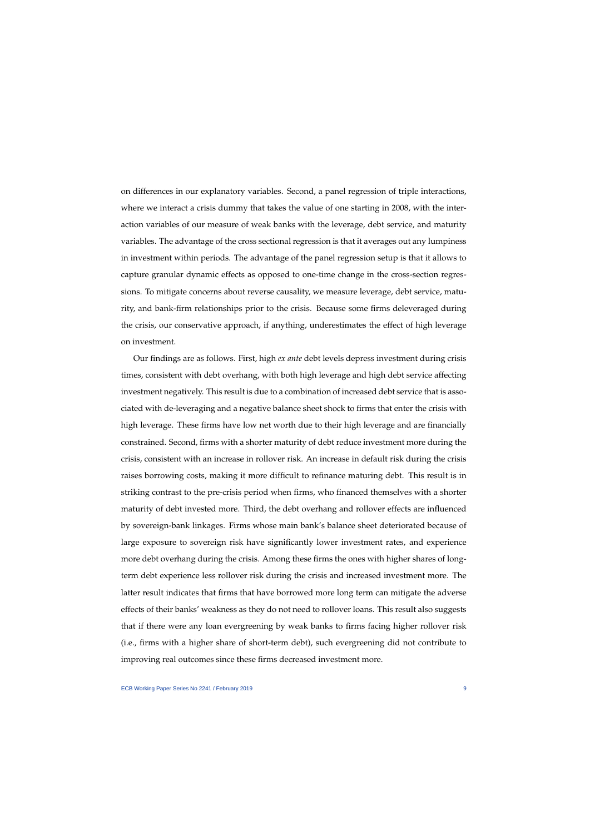on differences in our explanatory variables. Second, a panel regression of triple interactions, where we interact a crisis dummy that takes the value of one starting in 2008, with the interaction variables of our measure of weak banks with the leverage, debt service, and maturity variables. The advantage of the cross sectional regression is that it averages out any lumpiness in investment within periods. The advantage of the panel regression setup is that it allows to capture granular dynamic effects as opposed to one-time change in the cross-section regressions. To mitigate concerns about reverse causality, we measure leverage, debt service, maturity, and bank-firm relationships prior to the crisis. Because some firms deleveraged during the crisis, our conservative approach, if anything, underestimates the effect of high leverage on investment.

Our findings are as follows. First, high *ex ante* debt levels depress investment during crisis times, consistent with debt overhang, with both high leverage and high debt service affecting investment negatively. This result is due to a combination of increased debt service that is associated with de-leveraging and a negative balance sheet shock to firms that enter the crisis with high leverage. These firms have low net worth due to their high leverage and are financially constrained. Second, firms with a shorter maturity of debt reduce investment more during the crisis, consistent with an increase in rollover risk. An increase in default risk during the crisis raises borrowing costs, making it more difficult to refinance maturing debt. This result is in striking contrast to the pre-crisis period when firms, who financed themselves with a shorter maturity of debt invested more. Third, the debt overhang and rollover effects are influenced by sovereign-bank linkages. Firms whose main bank's balance sheet deteriorated because of large exposure to sovereign risk have significantly lower investment rates, and experience more debt overhang during the crisis. Among these firms the ones with higher shares of longterm debt experience less rollover risk during the crisis and increased investment more. The latter result indicates that firms that have borrowed more long term can mitigate the adverse effects of their banks' weakness as they do not need to rollover loans. This result also suggests that if there were any loan evergreening by weak banks to firms facing higher rollover risk (i.e., firms with a higher share of short-term debt), such evergreening did not contribute to improving real outcomes since these firms decreased investment more.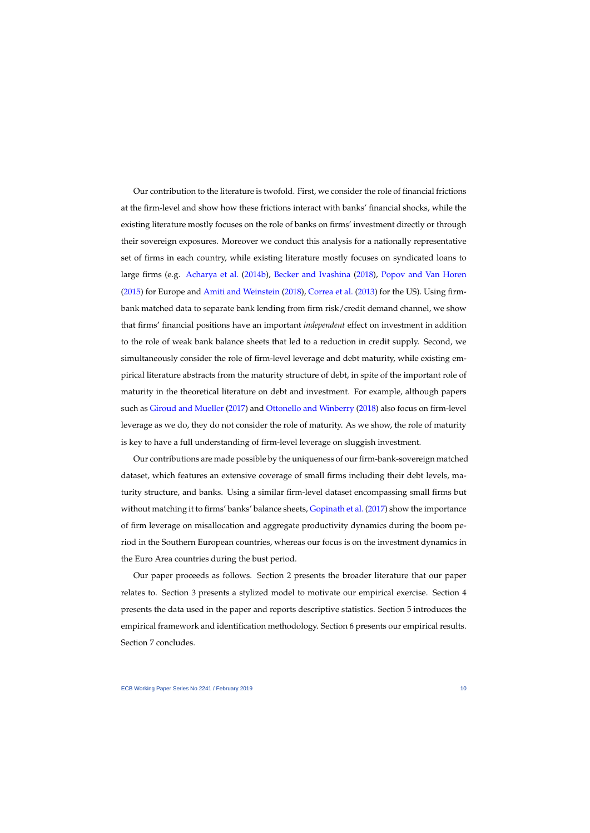Our contribution to the literature is twofold. First, we consider the role of financial frictions at the firm-level and show how these frictions interact with banks' financial shocks, while the existing literature mostly focuses on the role of banks on firms' investment directly or through their sovereign exposures. Moreover we conduct this analysis for a nationally representative set of firms in each country, while existing literature mostly focuses on syndicated loans to large firms (e.g. [Acharya et al.](#page-41-4) [\(2014b\)](#page-41-4), [Becker and Ivashina](#page-41-6) [\(2018\)](#page-41-6), [Popov and Van Horen](#page-43-8) [\(2015\)](#page-43-8) for Europe and [Amiti and Weinstein](#page-41-7) [\(2018\)](#page-41-7), [Correa et al.](#page-41-8) [\(2013\)](#page-41-8) for the US). Using firmbank matched data to separate bank lending from firm risk/credit demand channel, we show that firms' financial positions have an important *independent* effect on investment in addition to the role of weak bank balance sheets that led to a reduction in credit supply. Second, we simultaneously consider the role of firm-level leverage and debt maturity, while existing empirical literature abstracts from the maturity structure of debt, in spite of the important role of maturity in the theoretical literature on debt and investment. For example, although papers such as [Giroud and Mueller](#page-42-5) [\(2017\)](#page-42-5) and [Ottonello and Winberry](#page-43-9) [\(2018\)](#page-43-9) also focus on firm-level leverage as we do, they do not consider the role of maturity. As we show, the role of maturity is key to have a full understanding of firm-level leverage on sluggish investment.

Our contributions are made possible by the uniqueness of our firm-bank-sovereign matched dataset, which features an extensive coverage of small firms including their debt levels, maturity structure, and banks. Using a similar firm-level dataset encompassing small firms but without matching it to firms' banks' balance sheets, [Gopinath et al.](#page-42-6) [\(2017\)](#page-42-6) show the importance of firm leverage on misallocation and aggregate productivity dynamics during the boom period in the Southern European countries, whereas our focus is on the investment dynamics in the Euro Area countries during the bust period.

Our paper proceeds as follows. Section 2 presents the broader literature that our paper relates to. Section 3 presents a stylized model to motivate our empirical exercise. Section 4 presents the data used in the paper and reports descriptive statistics. Section 5 introduces the empirical framework and identification methodology. Section 6 presents our empirical results. Section 7 concludes.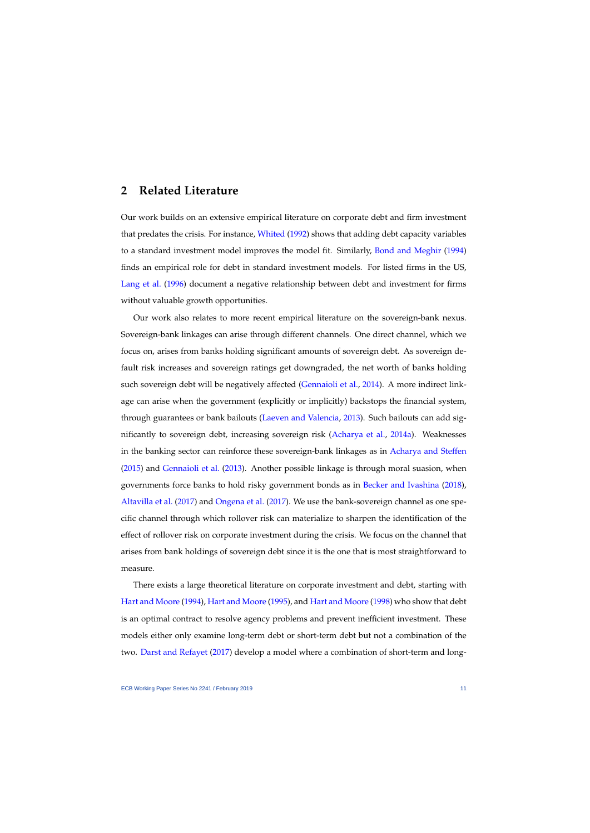# **2 Related Literature**

Our work builds on an extensive empirical literature on corporate debt and firm investment that predates the crisis. For instance, [Whited](#page-43-10) [\(1992\)](#page-43-10) shows that adding debt capacity variables to a standard investment model improves the model fit. Similarly, [Bond and Meghir](#page-41-9) [\(1994\)](#page-41-9) finds an empirical role for debt in standard investment models. For listed firms in the US, [Lang et al.](#page-43-11) [\(1996\)](#page-43-11) document a negative relationship between debt and investment for firms without valuable growth opportunities.

Our work also relates to more recent empirical literature on the sovereign-bank nexus. Sovereign-bank linkages can arise through different channels. One direct channel, which we focus on, arises from banks holding significant amounts of sovereign debt. As sovereign default risk increases and sovereign ratings get downgraded, the net worth of banks holding such sovereign debt will be negatively affected [\(Gennaioli et al.,](#page-42-3) [2014\)](#page-42-3). A more indirect linkage can arise when the government (explicitly or implicitly) backstops the financial system, through guarantees or bank bailouts [\(Laeven and Valencia,](#page-43-12) [2013\)](#page-43-12). Such bailouts can add significantly to sovereign debt, increasing sovereign risk [\(Acharya et al.,](#page-41-10) [2014a\)](#page-41-10). Weaknesses in the banking sector can reinforce these sovereign-bank linkages as in [Acharya and Steffen](#page-41-11) [\(2015\)](#page-41-11) and [Gennaioli et al.](#page-42-7) [\(2013\)](#page-42-7). Another possible linkage is through moral suasion, when governments force banks to hold risky government bonds as in [Becker and Ivashina](#page-41-6) [\(2018\)](#page-41-6), [Altavilla et al.](#page-41-12) [\(2017\)](#page-41-12) and [Ongena et al.](#page-43-13) [\(2017\)](#page-43-13). We use the bank-sovereign channel as one specific channel through which rollover risk can materialize to sharpen the identification of the effect of rollover risk on corporate investment during the crisis. We focus on the channel that arises from bank holdings of sovereign debt since it is the one that is most straightforward to measure.

There exists a large theoretical literature on corporate investment and debt, starting with [Hart and Moore](#page-42-8) [\(1994\)](#page-42-8), [Hart and Moore](#page-42-9) [\(1995\)](#page-42-9), and [Hart and Moore](#page-42-10) [\(1998\)](#page-42-10) who show that debt is an optimal contract to resolve agency problems and prevent inefficient investment. These models either only examine long-term debt or short-term debt but not a combination of the two. [Darst and Refayet](#page-42-11) [\(2017\)](#page-42-11) develop a model where a combination of short-term and long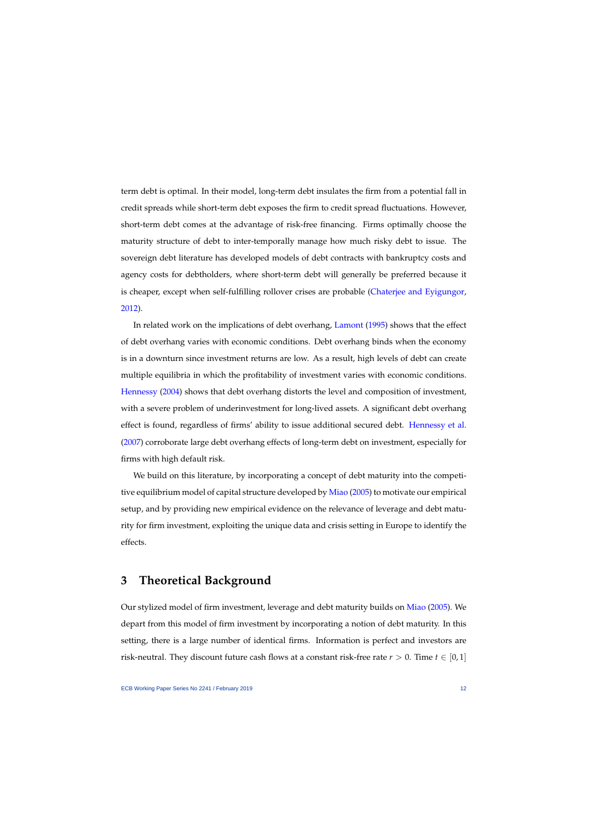term debt is optimal. In their model, long-term debt insulates the firm from a potential fall in credit spreads while short-term debt exposes the firm to credit spread fluctuations. However, short-term debt comes at the advantage of risk-free financing. Firms optimally choose the maturity structure of debt to inter-temporally manage how much risky debt to issue. The sovereign debt literature has developed models of debt contracts with bankruptcy costs and agency costs for debtholders, where short-term debt will generally be preferred because it is cheaper, except when self-fulfilling rollover crises are probable [\(Chaterjee and Eyigungor,](#page-41-13) [2012\)](#page-41-13).

In related work on the implications of debt overhang, [Lamont](#page-43-14) [\(1995\)](#page-43-14) shows that the effect of debt overhang varies with economic conditions. Debt overhang binds when the economy is in a downturn since investment returns are low. As a result, high levels of debt can create multiple equilibria in which the profitability of investment varies with economic conditions. [Hennessy](#page-42-12) [\(2004\)](#page-42-12) shows that debt overhang distorts the level and composition of investment, with a severe problem of underinvestment for long-lived assets. A significant debt overhang effect is found, regardless of firms' ability to issue additional secured debt. [Hennessy et al.](#page-42-13) [\(2007\)](#page-42-13) corroborate large debt overhang effects of long-term debt on investment, especially for firms with high default risk.

We build on this literature, by incorporating a concept of debt maturity into the competi-tive equilibrium model of capital structure developed by [Miao](#page-43-15) [\(2005\)](#page-43-15) to motivate our empirical setup, and by providing new empirical evidence on the relevance of leverage and debt maturity for firm investment, exploiting the unique data and crisis setting in Europe to identify the effects.

# **3 Theoretical Background**

Our stylized model of firm investment, leverage and debt maturity builds on [Miao](#page-43-15) [\(2005\)](#page-43-15). We depart from this model of firm investment by incorporating a notion of debt maturity. In this setting, there is a large number of identical firms. Information is perfect and investors are risk-neutral. They discount future cash flows at a constant risk-free rate  $r > 0$ . Time  $t \in [0,1]$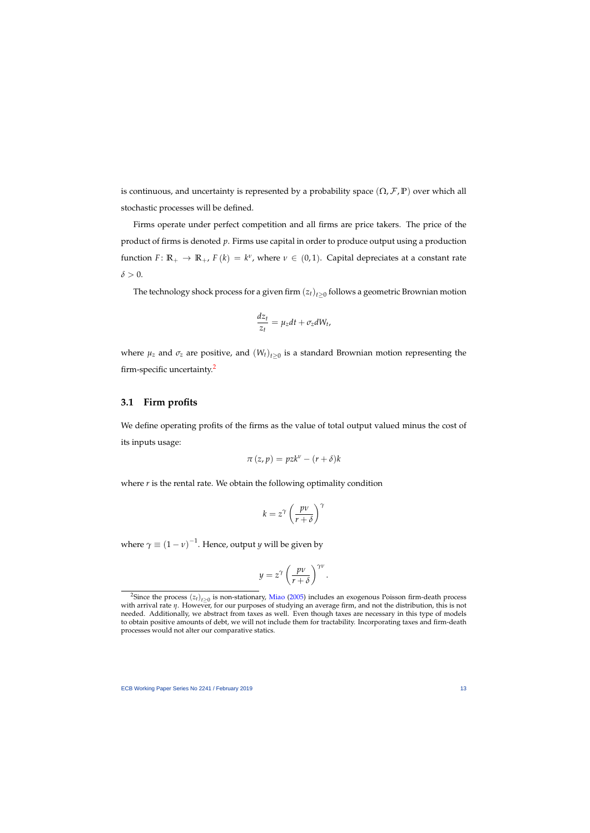is continuous, and uncertainty is represented by a probability space  $(\Omega, \mathcal{F}, \mathbb{P})$  over which all stochastic processes will be defined.

Firms operate under perfect competition and all firms are price takers. The price of the product of firms is denoted *p*. Firms use capital in order to produce output using a production function  $F: \mathbb{R}_+ \to \mathbb{R}_+$ ,  $F(k) = k^{\nu}$ , where  $\nu \in (0, 1)$ . Capital depreciates at a constant rate  $\delta > 0$ .

The technology shock process for a given firm  $\left(z_{t}\right)_{t \geq 0}$  follows a geometric Brownian motion

$$
\frac{dz_t}{z_t} = \mu_z dt + \sigma_z dW_t,
$$

where  $\mu_z$  and  $\sigma_z$  are positive, and  $(W_t)_{t\geq 0}$  is a standard Brownian motion representing the firm-specific uncertainty.[2](#page-1-0)

## **3.1 Firm profits**

We define operating profits of the firms as the value of total output valued minus the cost of its inputs usage:

$$
\pi(z,p) = pzk^{\nu} - (r+\delta)k
$$

where *r* is the rental rate. We obtain the following optimality condition

$$
k = z^{\gamma} \left(\frac{p\nu}{r+\delta}\right)^{\gamma}
$$

where  $\gamma\equiv\left(1-\nu\right)^{-1}.$  Hence, output  $y$  will be given by

$$
y = z^{\gamma} \left( \frac{p v}{r + \delta} \right)^{\gamma v}.
$$

<sup>&</sup>lt;sup>2</sup>Since the process  $(z_t)_{t\geq0}$  is non-stationary, [Miao](#page-43-15) [\(2005\)](#page-43-15) includes an exogenous Poisson firm-death process with arrival rate *η*. However, for our purposes of studying an average firm, and not the distribution, this is not needed. Additionally, we abstract from taxes as well. Even though taxes are necessary in this type of models to obtain positive amounts of debt, we will not include them for tractability. Incorporating taxes and firm-death processes would not alter our comparative statics.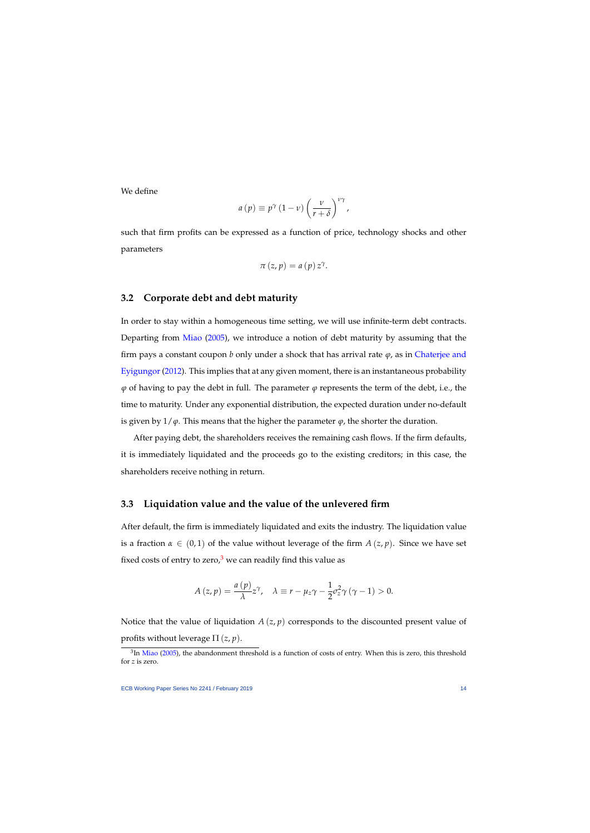We define

$$
a(p) \equiv p^{\gamma} (1 - \nu) \left( \frac{\nu}{r + \delta} \right)^{\nu \gamma},
$$

such that firm profits can be expressed as a function of price, technology shocks and other parameters

$$
\pi(z,p)=a(p) z^{\gamma}.
$$

## **3.2 Corporate debt and debt maturity**

In order to stay within a homogeneous time setting, we will use infinite-term debt contracts. Departing from [Miao](#page-43-15) [\(2005\)](#page-43-15), we introduce a notion of debt maturity by assuming that the firm pays a constant coupon *b* only under a shock that has arrival rate *ϕ*, as in [Chaterjee and](#page-41-13) [Eyigungor](#page-41-13) [\(2012\)](#page-41-13). This implies that at any given moment, there is an instantaneous probability  $\varphi$  of having to pay the debt in full. The parameter  $\varphi$  represents the term of the debt, i.e., the time to maturity. Under any exponential distribution, the expected duration under no-default is given by  $1/\varphi$ . This means that the higher the parameter  $\varphi$ , the shorter the duration.

After paying debt, the shareholders receives the remaining cash flows. If the firm defaults, it is immediately liquidated and the proceeds go to the existing creditors; in this case, the shareholders receive nothing in return.

## **3.3 Liquidation value and the value of the unlevered firm**

After default, the firm is immediately liquidated and exits the industry. The liquidation value is a fraction  $\alpha \in (0,1)$  of the value without leverage of the firm  $A(z, p)$ . Since we have set fixed costs of entry to zero, $3$  we can readily find this value as

$$
A(z,p) = \frac{a(p)}{\lambda}z^{\gamma}, \quad \lambda \equiv r - \mu_z \gamma - \frac{1}{2}\sigma_z^2 \gamma (\gamma - 1) > 0.
$$

Notice that the value of liquidation *A* (*z*, *p*) corresponds to the discounted present value of profits without leverage  $\Pi(z, p)$ .

 ${}^{3}$ In [Miao](#page-43-15) [\(2005\)](#page-43-15), the abandonment threshold is a function of costs of entry. When this is zero, this threshold for *z* is zero.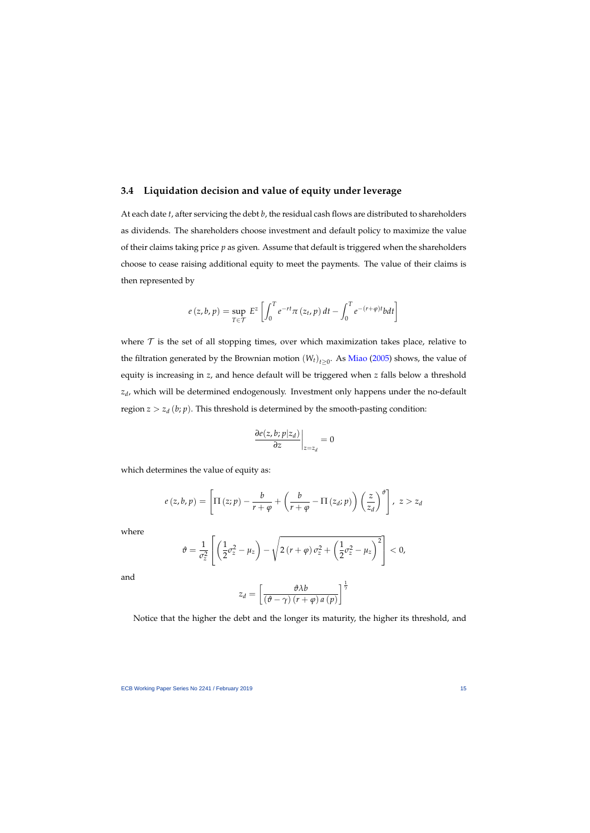## **3.4 Liquidation decision and value of equity under leverage**

At each date *t*, after servicing the debt *b*, the residual cash flows are distributed to shareholders as dividends. The shareholders choose investment and default policy to maximize the value of their claims taking price *p* as given. Assume that default is triggered when the shareholders choose to cease raising additional equity to meet the payments. The value of their claims is then represented by

$$
e(z, b, p) = \sup_{T \in \mathcal{T}} E^z \left[ \int_0^T e^{-rt} \pi(z_t, p) dt - \int_0^T e^{-(r+\varphi)t} b dt \right]
$$

where  $\mathcal T$  is the set of all stopping times, over which maximization takes place, relative to the filtration generated by the Brownian motion  $(W_t)_{t\geq 0}$ . As [Miao](#page-43-15) [\(2005\)](#page-43-15) shows, the value of equity is increasing in *z*, and hence default will be triggered when *z* falls below a threshold *zd* , which will be determined endogenously. Investment only happens under the no-default region  $z > z_d$  (*b*; *p*). This threshold is determined by the smooth-pasting condition:

$$
\left.\frac{\partial e(z,b;p|z_d)}{\partial z}\right|_{z=z_d}=0
$$

which determines the value of equity as:

$$
e(z,b,p) = \left[\Pi(z;p) - \frac{b}{r+\varphi} + \left(\frac{b}{r+\varphi} - \Pi(z_d;p)\right)\left(\frac{z}{z_d}\right)^{\vartheta}\right], \ z > z_d
$$

where

$$
\vartheta = \frac{1}{\sigma_z^2} \left[ \left( \frac{1}{2} \sigma_z^2 - \mu_z \right) - \sqrt{2 \left( r + \varphi \right) \sigma_z^2 + \left( \frac{1}{2} \sigma_z^2 - \mu_z \right)^2} \right] < 0,
$$

and

$$
z_d = \left[\frac{\vartheta \lambda b}{\left(\vartheta - \gamma\right) \left(r + \varphi\right) a\left(p\right)}\right]^{\frac{1}{\gamma}}
$$

Notice that the higher the debt and the longer its maturity, the higher its threshold, and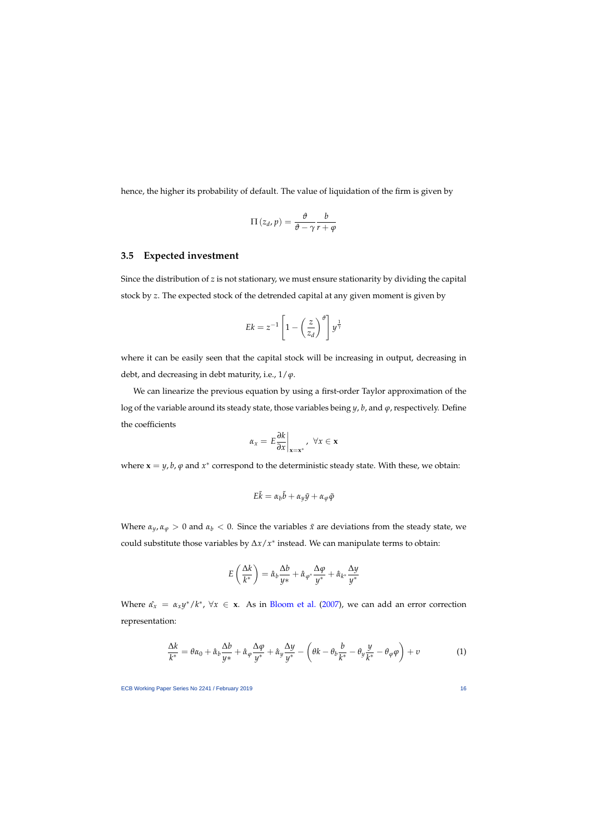hence, the higher its probability of default. The value of liquidation of the firm is given by

$$
\Pi(z_d, p) = \frac{\vartheta}{\vartheta - \gamma} \frac{b}{r + \varphi}
$$

## **3.5 Expected investment**

Since the distribution of *z* is not stationary, we must ensure stationarity by dividing the capital stock by *z*. The expected stock of the detrended capital at any given moment is given by

$$
Ek = z^{-1} \left[ 1 - \left(\frac{z}{z_d}\right)^{\theta} \right] y^{\frac{1}{\gamma}}
$$

where it can be easily seen that the capital stock will be increasing in output, decreasing in debt, and decreasing in debt maturity, i.e., 1/*ϕ*.

We can linearize the previous equation by using a first-order Taylor approximation of the log of the variable around its steady state, those variables being *y*, *b*, and *ϕ*, respectively. Define the coefficients

$$
\alpha_x = E \frac{\partial k}{\partial x}\bigg|_{\mathbf{x} = \mathbf{x}^*}, \ \forall x \in \mathbf{x}
$$

where  $\mathbf{x} = y$ , *b*,  $\varphi$  and  $x^*$  correspond to the deterministic steady state. With these, we obtain:

$$
E\tilde{k} = \alpha_b \tilde{b} + \alpha_y \tilde{y} + \alpha_\varphi \tilde{\varphi}
$$

Where  $\alpha_y$ ,  $\alpha_\varphi > 0$  and  $\alpha_b < 0$ . Since the variables  $\tilde{x}$  are deviations from the steady state, we could substitute those variables by ∆*x*/*x* ∗ instead. We can manipulate terms to obtain:

$$
E\left(\frac{\Delta k}{k^*}\right) = \hat{\alpha}_b \frac{\Delta b}{y*} + \hat{\alpha}_{\varphi^*} \frac{\Delta \varphi}{y^*} + \hat{\alpha}_{k^*} \frac{\Delta y}{y^*}
$$

Where  $\hat{\alpha}_x = \alpha_x y^*/k^*$ ,  $\forall x \in \mathbf{x}$ . As in [Bloom et al.](#page-41-14) [\(2007\)](#page-41-14), we can add an error correction representation:

<span id="page-16-0"></span>
$$
\frac{\Delta k}{k^*} = \theta \alpha_0 + \hat{\alpha}_b \frac{\Delta b}{y^*} + \hat{\alpha}_\varphi \frac{\Delta \varphi}{y^*} + \hat{\alpha}_y \frac{\Delta y}{y^*} - \left(\theta k - \theta_b \frac{b}{k^*} - \theta_y \frac{y}{k^*} - \theta_\varphi \varphi\right) + v \tag{1}
$$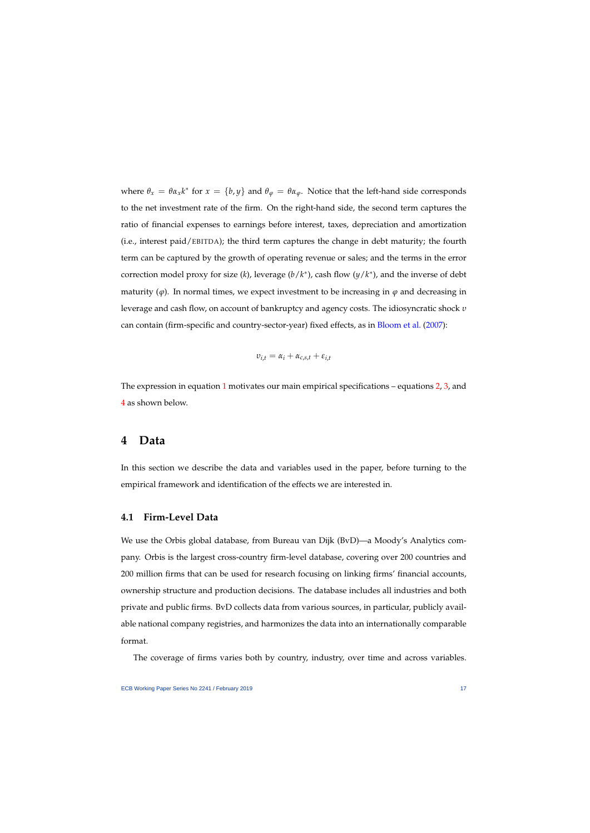where  $\theta_x = \theta \alpha_x k^*$  for  $x = \{b, y\}$  and  $\theta_\varphi = \theta \alpha_\varphi$ . Notice that the left-hand side corresponds to the net investment rate of the firm. On the right-hand side, the second term captures the ratio of financial expenses to earnings before interest, taxes, depreciation and amortization (i.e., interest paid/EBITDA); the third term captures the change in debt maturity; the fourth term can be captured by the growth of operating revenue or sales; and the terms in the error correction model proxy for size  $(k)$ , leverage  $(b/k^*)$ , cash flow  $(y/k^*)$ , and the inverse of debt maturity  $(\varphi)$ . In normal times, we expect investment to be increasing in  $\varphi$  and decreasing in leverage and cash flow, on account of bankruptcy and agency costs. The idiosyncratic shock *υ* can contain (firm-specific and country-sector-year) fixed effects, as in [Bloom et al.](#page-41-14) [\(2007\)](#page-41-14):

$$
v_{i,t} = \alpha_i + \alpha_{c,s,t} + \varepsilon_{i,t}
$$

The expression in equation [1](#page-16-0) motivates our main empirical specifications – equations  $2, 3$  $2, 3$ , and [4](#page-29-0) as shown below.

## **4 Data**

In this section we describe the data and variables used in the paper, before turning to the empirical framework and identification of the effects we are interested in.

## **4.1 Firm-Level Data**

We use the Orbis global database, from Bureau van Dijk (BvD)—a Moody's Analytics company. Orbis is the largest cross-country firm-level database, covering over 200 countries and 200 million firms that can be used for research focusing on linking firms' financial accounts, ownership structure and production decisions. The database includes all industries and both private and public firms. BvD collects data from various sources, in particular, publicly available national company registries, and harmonizes the data into an internationally comparable format.

The coverage of firms varies both by country, industry, over time and across variables.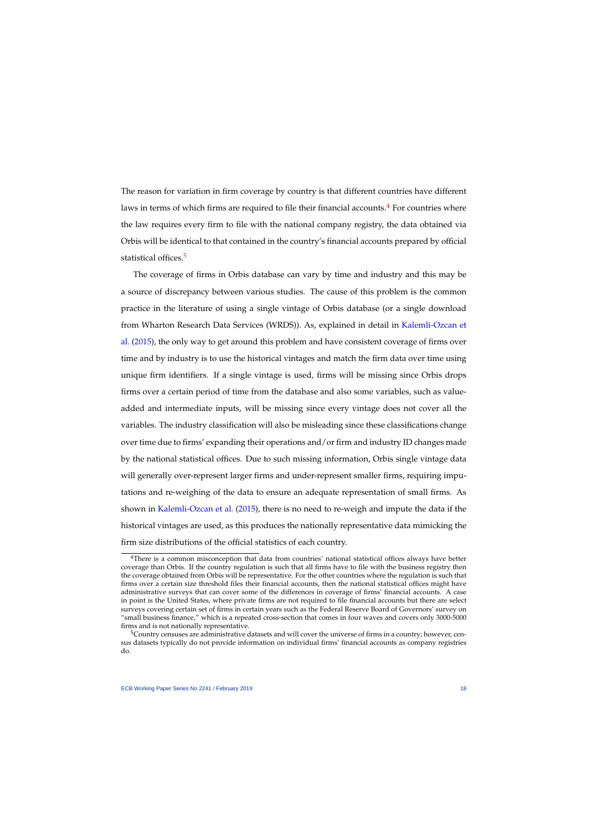The reason for variation in firm coverage by country is that different countries have different laws in terms of which firms are required to file their financial accounts.<sup>[4](#page-1-0)</sup> For countries where the law requires every firm to file with the national company registry, the data obtained via Orbis will be identical to that contained in the country's financial accounts prepared by official statistical offices.<sup>[5](#page-1-0)</sup>

The coverage of firms in Orbis database can vary by time and industry and this may be a source of discrepancy between various studies. The cause of this problem is the common practice in the literature of using a single vintage of Orbis database (or a single download from Wharton Research Data Services (WRDS)). As, explained in detail in [Kalemli-Ozcan et](#page-43-0) [al.](#page-43-0) [\(2015\)](#page-43-0), the only way to get around this problem and have consistent coverage of firms over time and by industry is to use the historical vintages and match the firm data over time using unique firm identifiers. If a single vintage is used, firms will be missing since Orbis drops firms over a certain period of time from the database and also some variables, such as valueadded and intermediate inputs, will be missing since every vintage does not cover all the variables. The industry classification will also be misleading since these classifications change over time due to firms' expanding their operations and/or firm and industry ID changes made by the national statistical offices. Due to such missing information, Orbis single vintage data will generally over-represent larger firms and under-represent smaller firms, requiring imputations and re-weighing of the data to ensure an adequate representation of small firms. As shown in [Kalemli-Ozcan et al.](#page-43-0) [\(2015\)](#page-43-0), there is no need to re-weigh and impute the data if the historical vintages are used, as this produces the nationally representative data mimicking the firm size distributions of the official statistics of each country.

<sup>&</sup>lt;sup>4</sup>There is a common misconception that data from countries' national statistical offices always have better coverage than Orbis. If the country regulation is such that all firms have to file with the business registry then the coverage obtained from Orbis will be representative. For the other countries where the regulation is such that firms over a certain size threshold files their financial accounts, then the national statistical offices might have administrative surveys that can cover some of the differences in coverage of firms' financial accounts. A case in point is the United States, where private firms are not required to file financial accounts but there are select surveys covering certain set of firms in certain years such as the Federal Reserve Board of Governors' survey on "small business finance," which is a repeated cross-section that comes in four waves and covers only 3000-5000 firms and is not nationally representative.

<sup>&</sup>lt;sup>5</sup>Country censuses are administrative datasets and will cover the universe of firms in a country; however, census datasets typically do not provide information on individual firms' financial accounts as company registries do.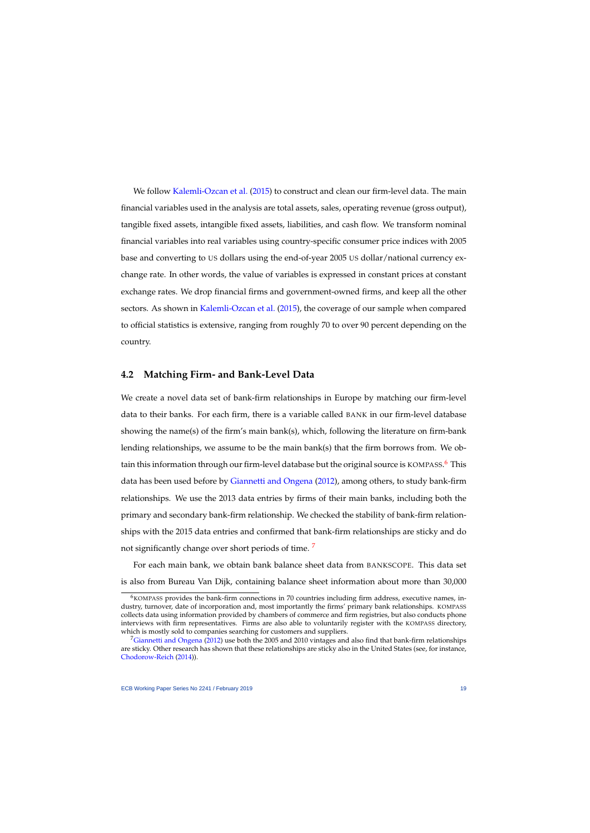We follow [Kalemli-Ozcan et al.](#page-43-0) [\(2015\)](#page-43-0) to construct and clean our firm-level data. The main financial variables used in the analysis are total assets, sales, operating revenue (gross output), tangible fixed assets, intangible fixed assets, liabilities, and cash flow. We transform nominal financial variables into real variables using country-specific consumer price indices with 2005 base and converting to US dollars using the end-of-year 2005 US dollar/national currency exchange rate. In other words, the value of variables is expressed in constant prices at constant exchange rates. We drop financial firms and government-owned firms, and keep all the other sectors. As shown in [Kalemli-Ozcan et al.](#page-43-0) [\(2015\)](#page-43-0), the coverage of our sample when compared to official statistics is extensive, ranging from roughly 70 to over 90 percent depending on the country.

## **4.2 Matching Firm- and Bank-Level Data**

We create a novel data set of bank-firm relationships in Europe by matching our firm-level data to their banks. For each firm, there is a variable called BANK in our firm-level database showing the name(s) of the firm's main bank(s), which, following the literature on firm-bank lending relationships, we assume to be the main bank(s) that the firm borrows from. We ob-tain this information through our firm-level database but the original source is KOMPASS.<sup>[6](#page-1-0)</sup> This data has been used before by [Giannetti and Ongena](#page-42-14) [\(2012\)](#page-42-14), among others, to study bank-firm relationships. We use the 2013 data entries by firms of their main banks, including both the primary and secondary bank-firm relationship. We checked the stability of bank-firm relationships with the 2015 data entries and confirmed that bank-firm relationships are sticky and do not significantly change over short periods of time.<sup>[7](#page-1-0)</sup>

For each main bank, we obtain bank balance sheet data from BANKSCOPE. This data set is also from Bureau Van Dijk, containing balance sheet information about more than 30,000

 $6$ KOMPASS provides the bank-firm connections in 70 countries including firm address, executive names, industry, turnover, date of incorporation and, most importantly the firms' primary bank relationships. KOMPASS collects data using information provided by chambers of commerce and firm registries, but also conducts phone interviews with firm representatives. Firms are also able to voluntarily register with the KOMPASS directory, which is mostly sold to companies searching for customers and suppliers.

<sup>&</sup>lt;sup>7</sup>[Giannetti and Ongena](#page-42-14) [\(2012\)](#page-42-14) use both the 2005 and 2010 vintages and also find that bank-firm relationships are sticky. Other research has shown that these relationships are sticky also in the United States (see, for instance, [Chodorow-Reich](#page-41-15) [\(2014\)](#page-41-15)).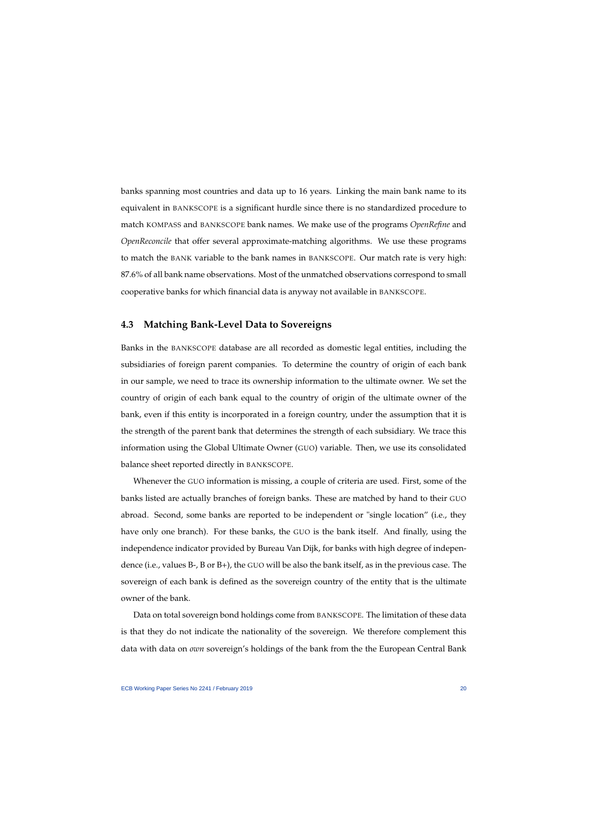banks spanning most countries and data up to 16 years. Linking the main bank name to its equivalent in BANKSCOPE is a significant hurdle since there is no standardized procedure to match KOMPASS and BANKSCOPE bank names. We make use of the programs *OpenRefine* and *OpenReconcile* that offer several approximate-matching algorithms. We use these programs to match the BANK variable to the bank names in BANKSCOPE. Our match rate is very high: 87.6% of all bank name observations. Most of the unmatched observations correspond to small cooperative banks for which financial data is anyway not available in BANKSCOPE.

## **4.3 Matching Bank-Level Data to Sovereigns**

Banks in the BANKSCOPE database are all recorded as domestic legal entities, including the subsidiaries of foreign parent companies. To determine the country of origin of each bank in our sample, we need to trace its ownership information to the ultimate owner. We set the country of origin of each bank equal to the country of origin of the ultimate owner of the bank, even if this entity is incorporated in a foreign country, under the assumption that it is the strength of the parent bank that determines the strength of each subsidiary. We trace this information using the Global Ultimate Owner (GUO) variable. Then, we use its consolidated balance sheet reported directly in BANKSCOPE.

Whenever the GUO information is missing, a couple of criteria are used. First, some of the banks listed are actually branches of foreign banks. These are matched by hand to their GUO abroad. Second, some banks are reported to be independent or "single location" (i.e., they have only one branch). For these banks, the GUO is the bank itself. And finally, using the independence indicator provided by Bureau Van Dijk, for banks with high degree of independence (i.e., values B-, B or B+), the GUO will be also the bank itself, as in the previous case. The sovereign of each bank is defined as the sovereign country of the entity that is the ultimate owner of the bank.

Data on total sovereign bond holdings come from BANKSCOPE. The limitation of these data is that they do not indicate the nationality of the sovereign. We therefore complement this data with data on *own* sovereign's holdings of the bank from the the European Central Bank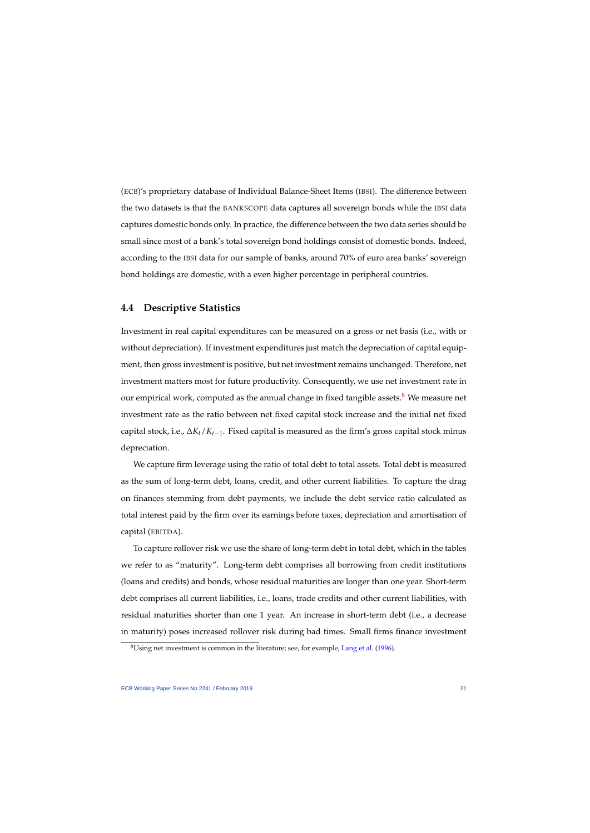(ECB)'s proprietary database of Individual Balance-Sheet Items (IBSI). The difference between the two datasets is that the BANKSCOPE data captures all sovereign bonds while the IBSI data captures domestic bonds only. In practice, the difference between the two data series should be small since most of a bank's total sovereign bond holdings consist of domestic bonds. Indeed, according to the IBSI data for our sample of banks, around 70% of euro area banks' sovereign bond holdings are domestic, with a even higher percentage in peripheral countries.

## **4.4 Descriptive Statistics**

Investment in real capital expenditures can be measured on a gross or net basis (i.e., with or without depreciation). If investment expenditures just match the depreciation of capital equipment, then gross investment is positive, but net investment remains unchanged. Therefore, net investment matters most for future productivity. Consequently, we use net investment rate in our empirical work, computed as the annual change in fixed tangible assets.<sup>[8](#page-1-0)</sup> We measure net investment rate as the ratio between net fixed capital stock increase and the initial net fixed capital stock, i.e., ∆*Kt*/*Kt*−1. Fixed capital is measured as the firm's gross capital stock minus depreciation.

We capture firm leverage using the ratio of total debt to total assets. Total debt is measured as the sum of long-term debt, loans, credit, and other current liabilities. To capture the drag on finances stemming from debt payments, we include the debt service ratio calculated as total interest paid by the firm over its earnings before taxes, depreciation and amortisation of capital (EBITDA).

To capture rollover risk we use the share of long-term debt in total debt, which in the tables we refer to as "maturity". Long-term debt comprises all borrowing from credit institutions (loans and credits) and bonds, whose residual maturities are longer than one year. Short-term debt comprises all current liabilities, i.e., loans, trade credits and other current liabilities, with residual maturities shorter than one 1 year. An increase in short-term debt (i.e., a decrease in maturity) poses increased rollover risk during bad times. Small firms finance investment

<sup>&</sup>lt;sup>8</sup>Using net investment is common in the literature; see, for example, [Lang et al.](#page-43-11) [\(1996\)](#page-43-11).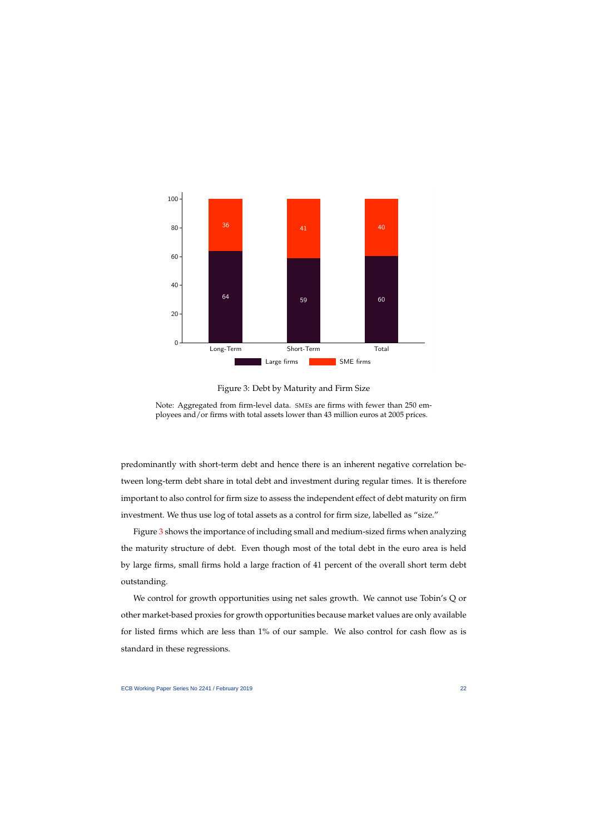

Figure 3: Debt by Maturity and Firm Size

<span id="page-22-0"></span>Note: Aggregated from firm-level data. SMEs are firms with fewer than 250 employees and/or firms with total assets lower than 43 million euros at 2005 prices.

predominantly with short-term debt and hence there is an inherent negative correlation between long-term debt share in total debt and investment during regular times. It is therefore important to also control for firm size to assess the independent effect of debt maturity on firm investment. We thus use log of total assets as a control for firm size, labelled as "size."

Figure [3](#page-22-0) shows the importance of including small and medium-sized firms when analyzing the maturity structure of debt. Even though most of the total debt in the euro area is held by large firms, small firms hold a large fraction of 41 percent of the overall short term debt outstanding.

We control for growth opportunities using net sales growth. We cannot use Tobin's Q or other market-based proxies for growth opportunities because market values are only available for listed firms which are less than 1% of our sample. We also control for cash flow as is standard in these regressions.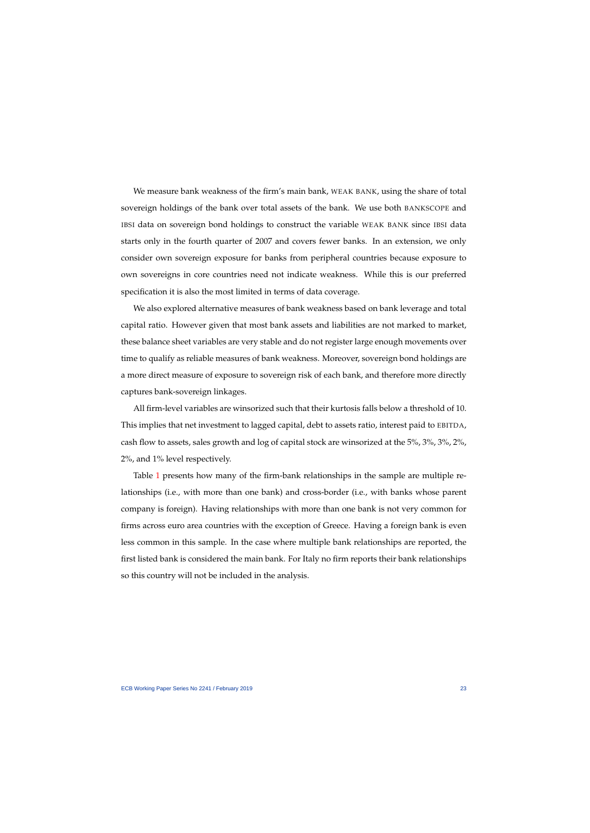We measure bank weakness of the firm's main bank, WEAK BANK, using the share of total sovereign holdings of the bank over total assets of the bank. We use both BANKSCOPE and IBSI data on sovereign bond holdings to construct the variable WEAK BANK since IBSI data starts only in the fourth quarter of 2007 and covers fewer banks. In an extension, we only consider own sovereign exposure for banks from peripheral countries because exposure to own sovereigns in core countries need not indicate weakness. While this is our preferred specification it is also the most limited in terms of data coverage.

We also explored alternative measures of bank weakness based on bank leverage and total capital ratio. However given that most bank assets and liabilities are not marked to market, these balance sheet variables are very stable and do not register large enough movements over time to qualify as reliable measures of bank weakness. Moreover, sovereign bond holdings are a more direct measure of exposure to sovereign risk of each bank, and therefore more directly captures bank-sovereign linkages.

All firm-level variables are winsorized such that their kurtosis falls below a threshold of 10. This implies that net investment to lagged capital, debt to assets ratio, interest paid to EBITDA, cash flow to assets, sales growth and log of capital stock are winsorized at the 5%, 3%, 3%, 2%, 2%, and 1% level respectively.

Table [1](#page-24-0) presents how many of the firm-bank relationships in the sample are multiple relationships (i.e., with more than one bank) and cross-border (i.e., with banks whose parent company is foreign). Having relationships with more than one bank is not very common for firms across euro area countries with the exception of Greece. Having a foreign bank is even less common in this sample. In the case where multiple bank relationships are reported, the first listed bank is considered the main bank. For Italy no firm reports their bank relationships so this country will not be included in the analysis.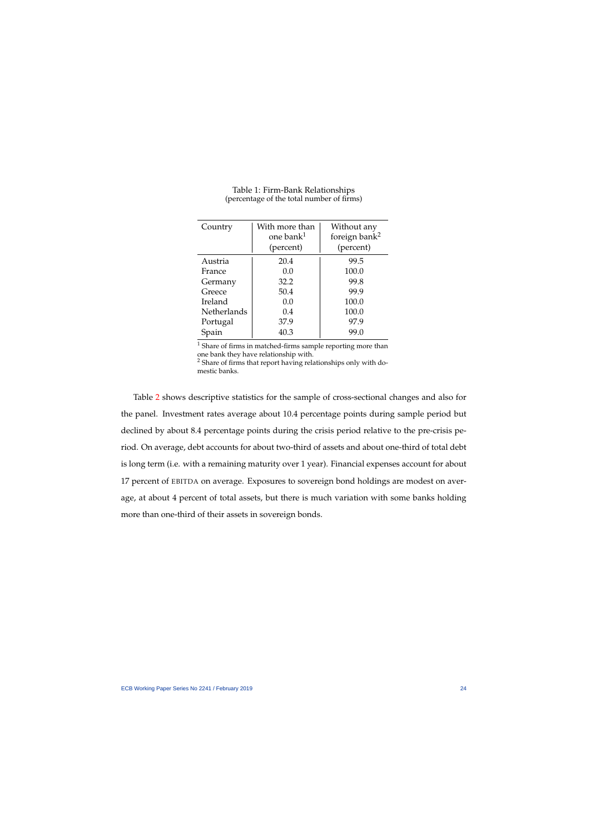| Country     | With more than<br>one bank <sup>1</sup><br>(percent) | Without any<br>foreign bank <sup>2</sup><br>(percent) |
|-------------|------------------------------------------------------|-------------------------------------------------------|
| Austria     | 20.4                                                 | 99.5                                                  |
| France      | 0.0                                                  | 100.0                                                 |
| Germany     | 32.2                                                 | 99.8                                                  |
| Greece      | 50.4                                                 | 99.9                                                  |
| Ireland     | 0.0                                                  | 100.0                                                 |
| Netherlands | 0.4                                                  | 100.0                                                 |
| Portugal    | 37.9                                                 | 97.9                                                  |
| Spain       | 40.3                                                 | 99.0                                                  |

### Table 1: Firm-Bank Relationships (percentage of the total number of firms)

 $^{\rm 1}$  Share of firms in matched-firms sample reporting more than one bank they have relationship with.

<sup>2</sup> Share of firms that report having relationships only with domestic banks.

<span id="page-24-0"></span>Table [2](#page-25-0) shows descriptive statistics for the sample of cross-sectional changes and also for the panel. Investment rates average about 10.4 percentage points during sample period but declined by about 8.4 percentage points during the crisis period relative to the pre-crisis period. On average, debt accounts for about two-third of assets and about one-third of total debt is long term (i.e. with a remaining maturity over 1 year). Financial expenses account for about 17 percent of EBITDA on average. Exposures to sovereign bond holdings are modest on average, at about 4 percent of total assets, but there is much variation with some banks holding more than one-third of their assets in sovereign bonds.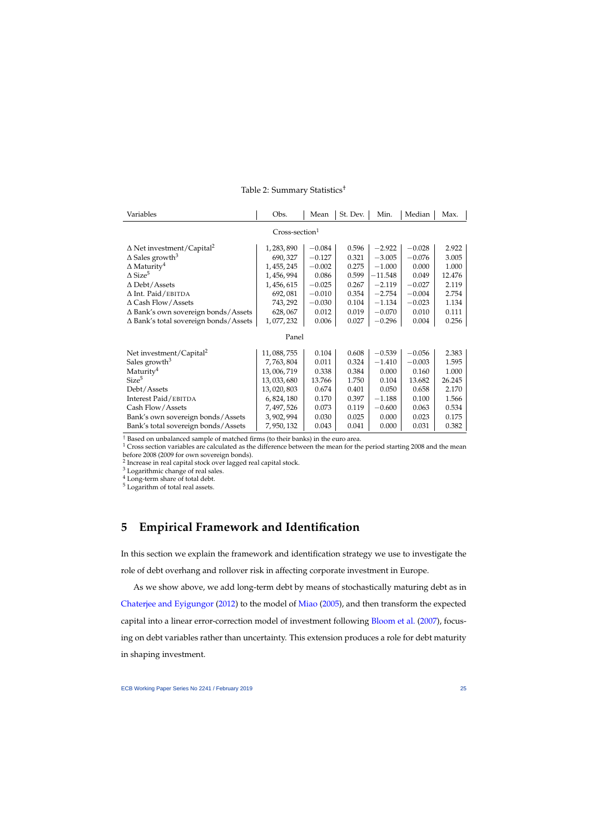| Variables                                    | Obs.        | Mean     | St. Dev. | Min.      | Median   | Max.   |
|----------------------------------------------|-------------|----------|----------|-----------|----------|--------|
| $Cross-section1$                             |             |          |          |           |          |        |
| $\Delta$ Net investment/Capital <sup>2</sup> | 1,283,890   | $-0.084$ | 0.596    | $-2.922$  | $-0.028$ | 2.922  |
| $\Delta$ Sales growth <sup>3</sup>           | 690,327     | $-0.127$ | 0.321    | $-3.005$  | $-0.076$ | 3.005  |
| $\Delta$ Maturity <sup>4</sup>               | 1, 455, 245 | $-0.002$ | 0.275    | $-1.000$  | 0.000    | 1.000  |
| $\Delta$ Size <sup>5</sup>                   | 1,456,994   | 0.086    | 0.599    | $-11.548$ | 0.049    | 12.476 |
| $\Delta$ Debt/Assets                         | 1,456,615   | $-0.025$ | 0.267    | $-2.119$  | $-0.027$ | 2.119  |
| $\Delta$ Int. Paid/EBITDA                    | 692,081     | $-0.010$ | 0.354    | $-2.754$  | $-0.004$ | 2.754  |
| $\Delta$ Cash Flow/Assets                    | 743, 292    | $-0.030$ | 0.104    | $-1.134$  | $-0.023$ | 1.134  |
| $\Delta$ Bank's own sovereign bonds/Assets   | 628,067     | 0.012    | 0.019    | $-0.070$  | 0.010    | 0.111  |
| ∆ Bank's total sovereign bonds/Assets        | 1,077,232   | 0.006    | 0.027    | $-0.296$  | 0.004    | 0.256  |
| Panel                                        |             |          |          |           |          |        |
| Net investment/Capital <sup>2</sup>          | 11,088,755  | 0.104    | 0.608    | $-0.539$  | $-0.056$ | 2.383  |
| Sales growth <sup>3</sup>                    | 7,763,804   | 0.011    | 0.324    | $-1.410$  | $-0.003$ | 1.595  |
| Maturity <sup>4</sup>                        | 13,006,719  | 0.338    | 0.384    | 0.000     | 0.160    | 1.000  |
| Size <sup>5</sup>                            | 13,033,680  | 13.766   | 1.750    | 0.104     | 13.682   | 26.245 |
| Debt/Assets                                  | 13,020,803  | 0.674    | 0.401    | 0.050     | 0.658    | 2.170  |
| Interest Paid/EBITDA                         | 6,824,180   | 0.170    | 0.397    | $-1.188$  | 0.100    | 1.566  |
| Cash Flow/Assets                             | 7, 497, 526 | 0.073    | 0.119    | $-0.600$  | 0.063    | 0.534  |
| Bank's own sovereign bonds/Assets            | 3,902,994   | 0.030    | 0.025    | 0.000     | 0.023    | 0.175  |
| Bank's total sovereign bonds/Assets          | 7,950,132   | 0.043    | 0.041    | 0.000     | 0.031    | 0.382  |

## Table 2: Summary Statistics†

† Based on unbalanced sample of matched firms (to their banks) in the euro area.

<span id="page-25-0"></span> $1$  Cross section variables are calculated as the difference between the mean for the period starting 2008 and the mean before 2008 (2009 for own sovereign bonds).

<sup>2</sup> Increase in real capital stock over lagged real capital stock.

<sup>3</sup> Logarithmic change of real sales.

<sup>4</sup> Long-term share of total debt.

<sup>5</sup> Logarithm of total real assets.

# **5 Empirical Framework and Identification**

In this section we explain the framework and identification strategy we use to investigate the role of debt overhang and rollover risk in affecting corporate investment in Europe.

As we show above, we add long-term debt by means of stochastically maturing debt as in [Chaterjee and Eyigungor](#page-41-13) [\(2012\)](#page-41-13) to the model of [Miao](#page-43-15) [\(2005\)](#page-43-15), and then transform the expected capital into a linear error-correction model of investment following **[Bloom et al.](#page-41-14)** [\(2007\)](#page-41-14), focusing on debt variables rather than uncertainty. This extension produces a role for debt maturity in shaping investment.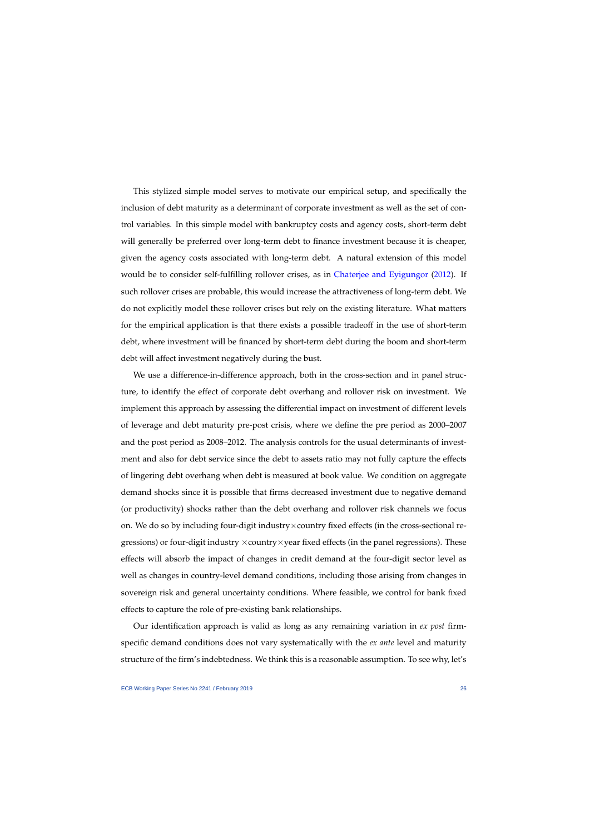This stylized simple model serves to motivate our empirical setup, and specifically the inclusion of debt maturity as a determinant of corporate investment as well as the set of control variables. In this simple model with bankruptcy costs and agency costs, short-term debt will generally be preferred over long-term debt to finance investment because it is cheaper, given the agency costs associated with long-term debt. A natural extension of this model would be to consider self-fulfilling rollover crises, as in [Chaterjee and Eyigungor](#page-41-13) [\(2012\)](#page-41-13). If such rollover crises are probable, this would increase the attractiveness of long-term debt. We do not explicitly model these rollover crises but rely on the existing literature. What matters for the empirical application is that there exists a possible tradeoff in the use of short-term debt, where investment will be financed by short-term debt during the boom and short-term debt will affect investment negatively during the bust.

We use a difference-in-difference approach, both in the cross-section and in panel structure, to identify the effect of corporate debt overhang and rollover risk on investment. We implement this approach by assessing the differential impact on investment of different levels of leverage and debt maturity pre-post crisis, where we define the pre period as 2000–2007 and the post period as 2008–2012. The analysis controls for the usual determinants of investment and also for debt service since the debt to assets ratio may not fully capture the effects of lingering debt overhang when debt is measured at book value. We condition on aggregate demand shocks since it is possible that firms decreased investment due to negative demand (or productivity) shocks rather than the debt overhang and rollover risk channels we focus on. We do so by including four-digit industry  $\times$  country fixed effects (in the cross-sectional regressions) or four-digit industry  $\times$  country  $\times$  year fixed effects (in the panel regressions). These effects will absorb the impact of changes in credit demand at the four-digit sector level as well as changes in country-level demand conditions, including those arising from changes in sovereign risk and general uncertainty conditions. Where feasible, we control for bank fixed effects to capture the role of pre-existing bank relationships.

Our identification approach is valid as long as any remaining variation in *ex post* firmspecific demand conditions does not vary systematically with the *ex ante* level and maturity structure of the firm's indebtedness. We think this is a reasonable assumption. To see why, let's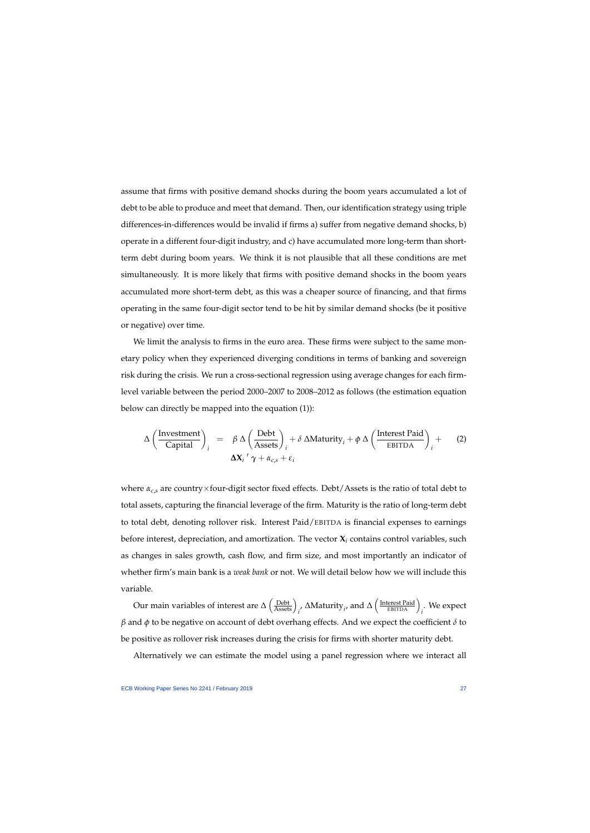assume that firms with positive demand shocks during the boom years accumulated a lot of debt to be able to produce and meet that demand. Then, our identification strategy using triple differences-in-differences would be invalid if firms a) suffer from negative demand shocks, b) operate in a different four-digit industry, and c) have accumulated more long-term than shortterm debt during boom years. We think it is not plausible that all these conditions are met simultaneously. It is more likely that firms with positive demand shocks in the boom years accumulated more short-term debt, as this was a cheaper source of financing, and that firms operating in the same four-digit sector tend to be hit by similar demand shocks (be it positive or negative) over time.

We limit the analysis to firms in the euro area. These firms were subject to the same monetary policy when they experienced diverging conditions in terms of banking and sovereign risk during the crisis. We run a cross-sectional regression using average changes for each firmlevel variable between the period 2000–2007 to 2008–2012 as follows (the estimation equation below can directly be mapped into the equation (1)):

$$
\Delta \left( \frac{\text{Investment}}{\text{Capital}} \right)_i = \beta \Delta \left( \frac{\text{Debt}}{\text{Assets}} \right)_i + \delta \Delta \text{Maturity}_i + \phi \Delta \left( \frac{\text{Interest Paid}}{\text{EBITDA}} \right)_i + \Delta \left( \frac{\text{Interest Paid}}{\text{EBITDA}} \right)_i
$$
 (2)

where *αc*,*<sup>s</sup>* are country×four-digit sector fixed effects. Debt/Assets is the ratio of total debt to total assets, capturing the financial leverage of the firm. Maturity is the ratio of long-term debt to total debt, denoting rollover risk. Interest Paid/EBITDA is financial expenses to earnings before interest, depreciation, and amortization. The vector **X***<sup>i</sup>* contains control variables, such as changes in sales growth, cash flow, and firm size, and most importantly an indicator of whether firm's main bank is a *weak bank* or not. We will detail below how we will include this variable.

<span id="page-27-0"></span>Our main variables of interest are  $\Delta \left( \frac{\text{Debt}}{\text{Assets}} \right)_i$ ,  $\Delta \text{Maturity}_i$ , and  $\Delta \left( \frac{\text{Interest Paul}}{\text{EBITDA}} \right)_i$ . We expect *β* and *φ* to be negative on account of debt overhang effects. And we expect the coefficient *δ* to be positive as rollover risk increases during the crisis for firms with shorter maturity debt.

Alternatively we can estimate the model using a panel regression where we interact all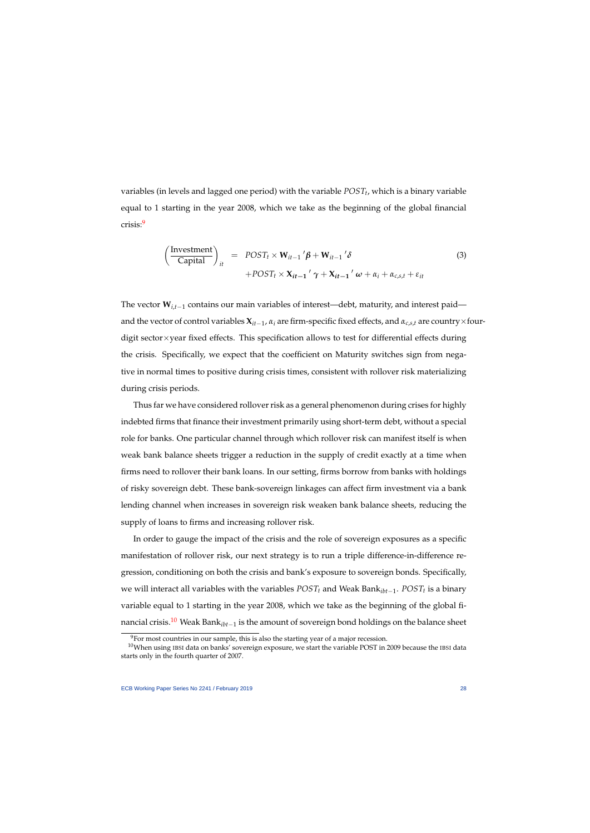variables (in levels and lagged one period) with the variable *POST<sup>t</sup>* , which is a binary variable equal to 1 starting in the year 2008, which we take as the beginning of the global financial crisis:[9](#page-1-0)

$$
\left(\frac{\text{Investment}}{\text{Capital}}\right)_{it} = POST_t \times \mathbf{W}_{it-1}'\boldsymbol{\beta} + \mathbf{W}_{it-1}'\delta
$$
  
+
$$
POST_t \times \mathbf{X}_{it-1}'\boldsymbol{\gamma} + \mathbf{X}_{it-1}'\boldsymbol{\omega} + \alpha_i + \alpha_{c,s,t} + \varepsilon_{it}
$$
 (3)

The vector **W**<sub>*i*,*t*−1</sub> contains our main variables of interest—debt, maturity, and interest paid and the vector of control variables  $X_{it-1}$ ,  $\alpha_i$  are firm-specific fixed effects, and  $\alpha_{c,s,t}$  are country×fourdigit sector×year fixed effects. This specification allows to test for differential effects during the crisis. Specifically, we expect that the coefficient on Maturity switches sign from negative in normal times to positive during crisis times, consistent with rollover risk materializing during crisis periods.

<span id="page-28-0"></span>Thus far we have considered rollover risk as a general phenomenon during crises for highly indebted firms that finance their investment primarily using short-term debt, without a special role for banks. One particular channel through which rollover risk can manifest itself is when weak bank balance sheets trigger a reduction in the supply of credit exactly at a time when firms need to rollover their bank loans. In our setting, firms borrow from banks with holdings of risky sovereign debt. These bank-sovereign linkages can affect firm investment via a bank lending channel when increases in sovereign risk weaken bank balance sheets, reducing the supply of loans to firms and increasing rollover risk.

In order to gauge the impact of the crisis and the role of sovereign exposures as a specific manifestation of rollover risk, our next strategy is to run a triple difference-in-difference regression, conditioning on both the crisis and bank's exposure to sovereign bonds. Specifically, we will interact all variables with the variables *POST<sup>t</sup>* and Weak Bank*ibt*−<sup>1</sup> . *POST<sup>t</sup>* is a binary variable equal to 1 starting in the year 2008, which we take as the beginning of the global financial crisis.[10](#page-1-0) Weak Bank*ibt*−<sup>1</sup> is the amount of sovereign bond holdings on the balance sheet

 $9$ For most countries in our sample, this is also the starting year of a major recession.

 $10$ When using IBSI data on banks' sovereign exposure, we start the variable POST in 2009 because the IBSI data starts only in the fourth quarter of 2007.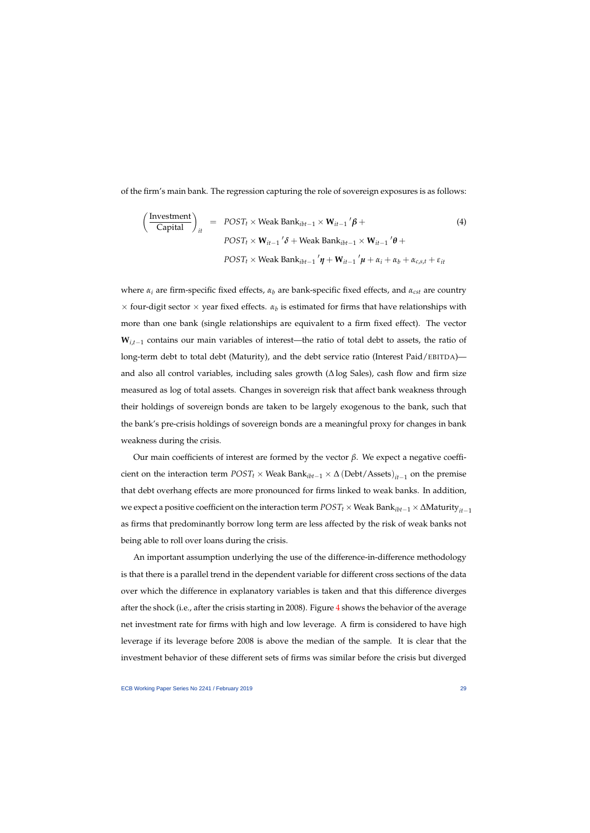of the firm's main bank. The regression capturing the role of sovereign exposures is as follows:

$$
\left(\frac{\text{Investment}}{\text{Capital}}\right)_{it} = \text{POST}_t \times \text{Weak Bank}_{ibt-1} \times \mathbf{W}_{it-1}' \boldsymbol{\beta} + \text{POST}_t \times \mathbf{W}_{it-1}' \boldsymbol{\delta} + \text{Weak Bank}_{ibt-1} \times \mathbf{W}_{it-1}' \boldsymbol{\theta} + \text{POST}_t \times \text{Weak Bank}_{ibt-1}' \boldsymbol{\eta} + \mathbf{W}_{it-1}' \boldsymbol{\mu} + \alpha_i + \alpha_b + \alpha_{c,s,t} + \varepsilon_{it}
$$
\n(4)

<span id="page-29-0"></span>where *α<sup>i</sup>* are firm-specific fixed effects, *α<sup>b</sup>* are bank-specific fixed effects, and *αcst* are country  $\times$  four-digit sector  $\times$  year fixed effects.  $\alpha_b$  is estimated for firms that have relationships with more than one bank (single relationships are equivalent to a firm fixed effect). The vector  $W_{i,t-1}$  contains our main variables of interest—the ratio of total debt to assets, the ratio of long-term debt to total debt (Maturity), and the debt service ratio (Interest Paid/EBITDA) and also all control variables, including sales growth (∆ log Sales), cash flow and firm size measured as log of total assets. Changes in sovereign risk that affect bank weakness through their holdings of sovereign bonds are taken to be largely exogenous to the bank, such that the bank's pre-crisis holdings of sovereign bonds are a meaningful proxy for changes in bank weakness during the crisis.

Our main coefficients of interest are formed by the vector *β*. We expect a negative coefficient on the interaction term  $POST_t \times Weak Bank_{ibt-1} \times \Delta (Debt/Assets)_{it-1}$  on the premise that debt overhang effects are more pronounced for firms linked to weak banks. In addition, we expect a positive coefficient on the interaction term *POST*<sup>*t*</sup> × Weak Bank<sub>*ibt*−1</sub> × ∆Maturity<sub>*it*−1</sub> as firms that predominantly borrow long term are less affected by the risk of weak banks not being able to roll over loans during the crisis.

An important assumption underlying the use of the difference-in-difference methodology is that there is a parallel trend in the dependent variable for different cross sections of the data over which the difference in explanatory variables is taken and that this difference diverges after the shock (i.e., after the crisis starting in 2008). Figure [4](#page-30-0) shows the behavior of the average net investment rate for firms with high and low leverage. A firm is considered to have high leverage if its leverage before 2008 is above the median of the sample. It is clear that the investment behavior of these different sets of firms was similar before the crisis but diverged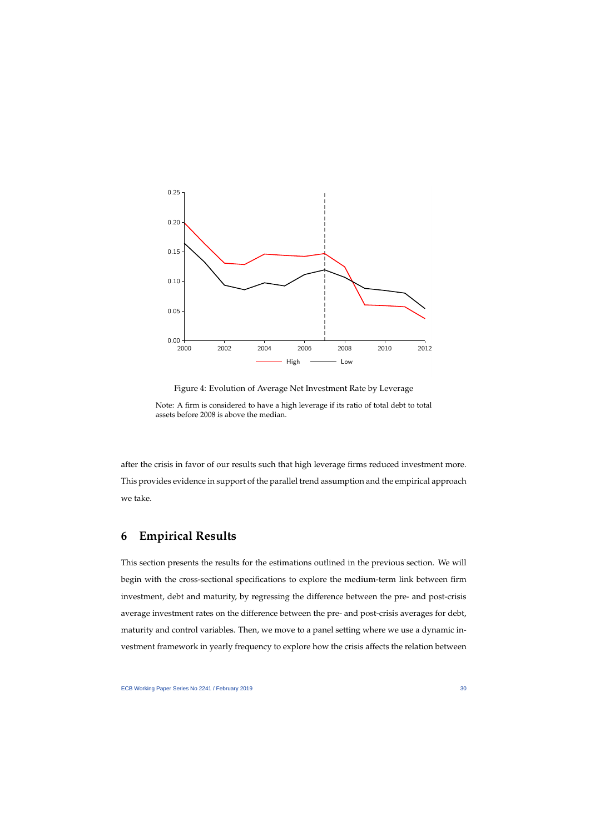

Figure 4: Evolution of Average Net Investment Rate by Leverage

<span id="page-30-0"></span>Note: A firm is considered to have a high leverage if its ratio of total debt to total assets before 2008 is above the median.

after the crisis in favor of our results such that high leverage firms reduced investment more. This provides evidence in support of the parallel trend assumption and the empirical approach we take.

# **6 Empirical Results**

This section presents the results for the estimations outlined in the previous section. We will begin with the cross-sectional specifications to explore the medium-term link between firm investment, debt and maturity, by regressing the difference between the pre- and post-crisis average investment rates on the difference between the pre- and post-crisis averages for debt, maturity and control variables. Then, we move to a panel setting where we use a dynamic investment framework in yearly frequency to explore how the crisis affects the relation between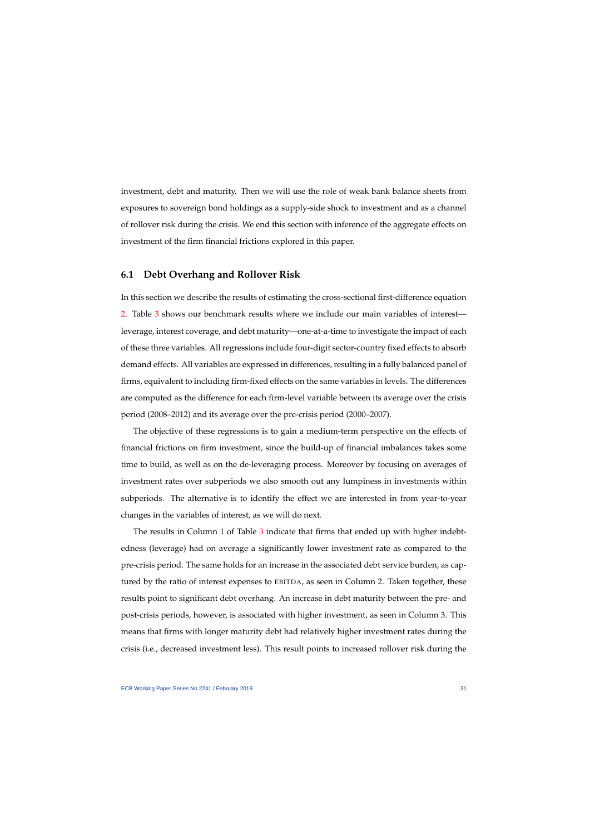investment, debt and maturity. Then we will use the role of weak bank balance sheets from exposures to sovereign bond holdings as a supply-side shock to investment and as a channel of rollover risk during the crisis. We end this section with inference of the aggregate effects on investment of the firm financial frictions explored in this paper.

## **6.1 Debt Overhang and Rollover Risk**

In this section we describe the results of estimating the cross-sectional first-difference equation [2.](#page-27-0) Table [3](#page-32-0) shows our benchmark results where we include our main variables of interest leverage, interest coverage, and debt maturity—one-at-a-time to investigate the impact of each of these three variables. All regressions include four-digit sector-country fixed effects to absorb demand effects. All variables are expressed in differences, resulting in a fully balanced panel of firms, equivalent to including firm-fixed effects on the same variables in levels. The differences are computed as the difference for each firm-level variable between its average over the crisis period (2008–2012) and its average over the pre-crisis period (2000–2007).

The objective of these regressions is to gain a medium-term perspective on the effects of financial frictions on firm investment, since the build-up of financial imbalances takes some time to build, as well as on the de-leveraging process. Moreover by focusing on averages of investment rates over subperiods we also smooth out any lumpiness in investments within subperiods. The alternative is to identify the effect we are interested in from year-to-year changes in the variables of interest, as we will do next.

The results in Column 1 of Table [3](#page-32-0) indicate that firms that ended up with higher indebtedness (leverage) had on average a significantly lower investment rate as compared to the pre-crisis period. The same holds for an increase in the associated debt service burden, as captured by the ratio of interest expenses to EBITDA, as seen in Column 2. Taken together, these results point to significant debt overhang. An increase in debt maturity between the pre- and post-crisis periods, however, is associated with higher investment, as seen in Column 3. This means that firms with longer maturity debt had relatively higher investment rates during the crisis (i.e., decreased investment less). This result points to increased rollover risk during the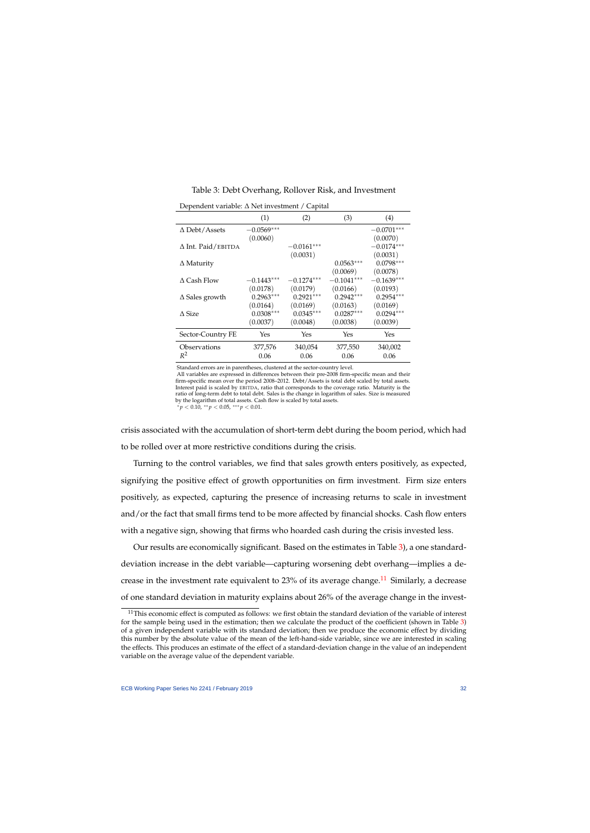### Table 3: Debt Overhang, Rollover Risk, and Investment

|                           | (1)          | (2)          | (3)          | $\left( 4\right)$ |
|---------------------------|--------------|--------------|--------------|-------------------|
| $\Delta$ Debt/Assets      | $-0.0569***$ |              |              | $-0.0701***$      |
|                           | (0.0060)     |              |              | (0.0070)          |
| $\Delta$ Int. Paid/EBITDA |              | $-0.0161***$ |              | $-0.0174***$      |
|                           |              | (0.0031)     |              | (0.0031)          |
| $\Delta$ Maturity         |              |              | $0.0563***$  | $0.0798***$       |
|                           |              |              | (0.0069)     | (0.0078)          |
| $\triangle$ Cash Flow     | $-0.1443***$ | $-0.1274***$ | $-0.1041***$ | $-0.1639***$      |
|                           | (0.0178)     | (0.0179)     | (0.0166)     | (0.0193)          |
| $\Delta$ Sales growth     | $0.2963***$  | $0.2921***$  | $0.2942***$  | $0.2954***$       |
|                           | (0.0164)     | (0.0169)     | (0.0163)     | (0.0169)          |
| $\triangle$ Size          | $0.0308***$  | $0.0345***$  | $0.0287***$  | $0.0294***$       |
|                           | (0.0037)     | (0.0048)     | (0.0038)     | (0.0039)          |
| Sector-Country FE         | Yes          | Yes          | Yes          | Yes               |
| Observations              | 377,576      | 340,054      | 377,550      | 340,002           |
| $R^2$                     | 0.06         | 0.06         | 0.06         | 0.06              |

Dependent variable: ∆ Net investment / Capital

Standard errors are in parentheses, clustered at the sector-country level.

All variables are expressed in differences between their pre-2008 firm-specific mean and their firm-specific mean over the period 2008–2012. Debt/Assets is total debt scaled by total assets. Interest paid is scaled by EBITDA, ratio that corresponds to the coverage ratio. Maturity is the ratio of long-term debt to total debt. Sales is the change in logarithm of sales. Size is measured by the logarithm of total assets. Cash flow is scaled by total assets.

<sup>∗</sup> *p* < 0.10, ∗∗ *p* < 0.05, ∗∗∗ *p* < 0.01.

<span id="page-32-0"></span>crisis associated with the accumulation of short-term debt during the boom period, which had to be rolled over at more restrictive conditions during the crisis.

Turning to the control variables, we find that sales growth enters positively, as expected, signifying the positive effect of growth opportunities on firm investment. Firm size enters positively, as expected, capturing the presence of increasing returns to scale in investment and/or the fact that small firms tend to be more affected by financial shocks. Cash flow enters with a negative sign, showing that firms who hoarded cash during the crisis invested less.

Our results are economically significant. Based on the estimates in Table [3\)](#page-32-0), a one standarddeviation increase in the debt variable—capturing worsening debt overhang—implies a de-crease in the investment rate equivalent to 23% of its average change.<sup>[11](#page-1-0)</sup> Similarly, a decrease of one standard deviation in maturity explains about 26% of the average change in the invest-

 $11$ This economic effect is computed as follows: we first obtain the standard deviation of the variable of interest for the sample being used in the estimation; then we calculate the product of the coefficient (shown in Table [3\)](#page-32-0) of a given independent variable with its standard deviation; then we produce the economic effect by dividing this number by the absolute value of the mean of the left-hand-side variable, since we are interested in scaling the effects. This produces an estimate of the effect of a standard-deviation change in the value of an independent variable on the average value of the dependent variable.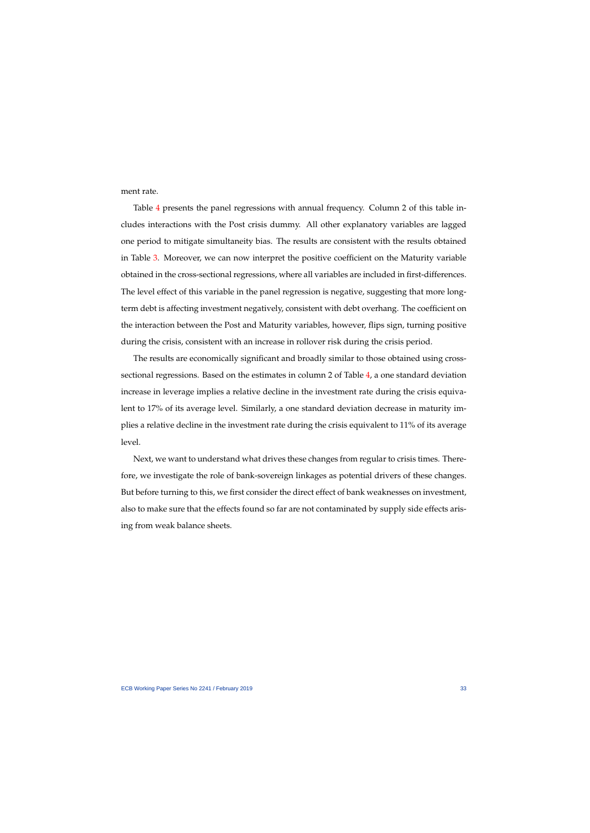ment rate.

Table [4](#page-34-0) presents the panel regressions with annual frequency. Column 2 of this table includes interactions with the Post crisis dummy. All other explanatory variables are lagged one period to mitigate simultaneity bias. The results are consistent with the results obtained in Table [3.](#page-32-0) Moreover, we can now interpret the positive coefficient on the Maturity variable obtained in the cross-sectional regressions, where all variables are included in first-differences. The level effect of this variable in the panel regression is negative, suggesting that more longterm debt is affecting investment negatively, consistent with debt overhang. The coefficient on the interaction between the Post and Maturity variables, however, flips sign, turning positive during the crisis, consistent with an increase in rollover risk during the crisis period.

The results are economically significant and broadly similar to those obtained using crosssectional regressions. Based on the estimates in column 2 of Table [4,](#page-34-0) a one standard deviation increase in leverage implies a relative decline in the investment rate during the crisis equivalent to 17% of its average level. Similarly, a one standard deviation decrease in maturity implies a relative decline in the investment rate during the crisis equivalent to 11% of its average level.

Next, we want to understand what drives these changes from regular to crisis times. Therefore, we investigate the role of bank-sovereign linkages as potential drivers of these changes. But before turning to this, we first consider the direct effect of bank weaknesses on investment, also to make sure that the effects found so far are not contaminated by supply side effects arising from weak balance sheets.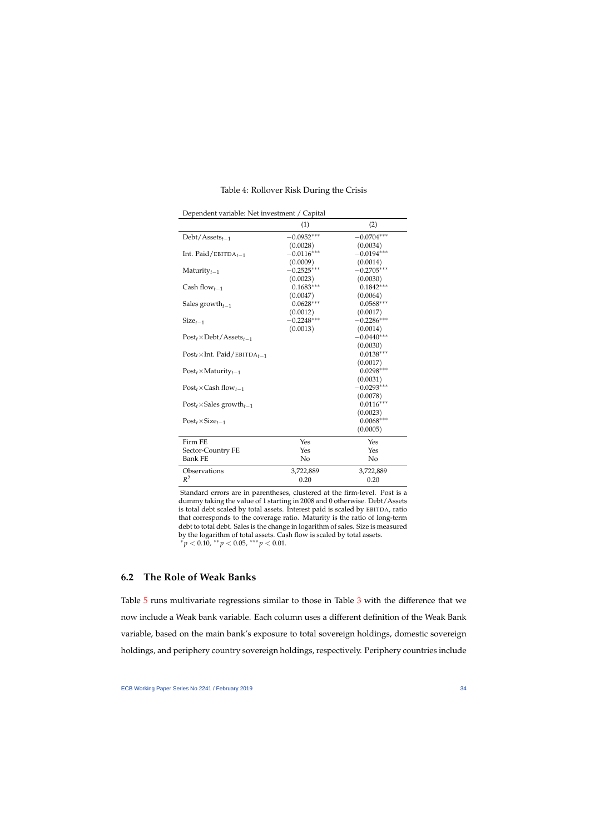### Table 4: Rollover Risk During the Crisis

<span id="page-34-0"></span>

|                                                 | (1)          | (2)          |
|-------------------------------------------------|--------------|--------------|
| $Debt/Assets_{t-1}$                             | $-0.0952***$ | $-0.0704***$ |
|                                                 | (0.0028)     | (0.0034)     |
| Int. Paid/EBITDA $_{t-1}$                       | $-0.0116***$ | $-0.0194***$ |
|                                                 | (0.0009)     | (0.0014)     |
| Maturity $t-1$                                  | $-0.2525***$ | $-0.2705***$ |
|                                                 | (0.0023)     | (0.0030)     |
| Cash flow <sub>t-1</sub>                        | $0.1683***$  | $0.1842***$  |
|                                                 | (0.0047)     | (0.0064)     |
| Sales growth $_{t-1}$                           | $0.0628***$  | $0.0568***$  |
|                                                 | (0.0012)     | (0.0017)     |
| $Size_{t-1}$                                    | $-0.2248***$ | $-0.2286***$ |
|                                                 | (0.0013)     | (0.0014)     |
| $Post_t \times Det / Assets_{t-1}$              |              | $-0.0440***$ |
|                                                 |              | (0.0030)     |
| $Post_t \times Int.$ Paid/EBITDA <sub>t-1</sub> |              | $0.0138***$  |
|                                                 |              | (0.0017)     |
| $Post_t \times Maturity_{t-1}$                  |              | $0.0298***$  |
|                                                 |              | (0.0031)     |
| $Post_t \times Cash flow_{t-1}$                 |              | $-0.0293***$ |
|                                                 |              | (0.0078)     |
| $Post_t \times Sales$ growth <sub>t-1</sub>     |              | $0.0116***$  |
|                                                 |              | (0.0023)     |
| $Post_t \times Size_{t-1}$                      |              | $0.0068***$  |
|                                                 |              | (0.0005)     |
| Firm FE                                         | Yes          | Yes          |
| Sector-Country FE                               | Yes          | Yes          |
| <b>Bank FE</b>                                  | No           | No           |
| Observations                                    | 3,722,889    | 3,722,889    |
| $R^2$                                           | 0.20         | 0.20         |

Dependent variable: Net investment / Capital

Standard errors are in parentheses, clustered at the firm-level. Post is a dummy taking the value of 1 starting in 2008 and 0 otherwise. Debt/Assets is total debt scaled by total assets. Interest paid is scaled by EBITDA, ratio that corresponds to the coverage ratio. Maturity is the ratio of long-term debt to total debt. Sales is the change in logarithm of sales. Size is measured by the logarithm of total assets. Cash flow is scaled by total assets.  $a^*p < 0.10$ ,  $a^*p < 0.05$ ,  $a^*p < 0.01$ .

## **6.2 The Role of Weak Banks**

Table [5](#page-35-0) runs multivariate regressions similar to those in Table [3](#page-32-0) with the difference that we now include a Weak bank variable. Each column uses a different definition of the Weak Bank variable, based on the main bank's exposure to total sovereign holdings, domestic sovereign holdings, and periphery country sovereign holdings, respectively. Periphery countries include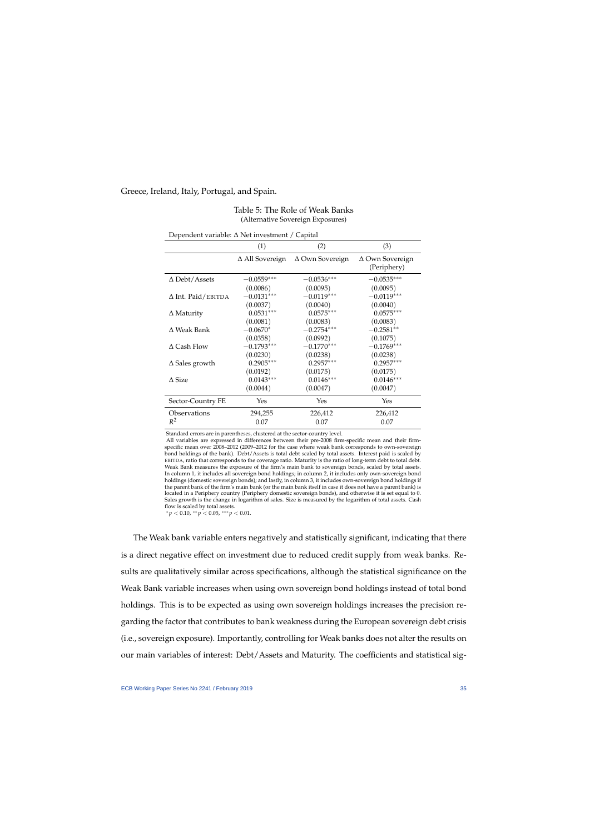#### Greece, Ireland, Italy, Portugal, and Spain.

| Dependent variable: $\Delta$ Net investment / Capital |                        |                        |                                |  |  |
|-------------------------------------------------------|------------------------|------------------------|--------------------------------|--|--|
|                                                       | (1)                    | (2)                    | (3)                            |  |  |
|                                                       | $\Delta$ All Sovereign | $\Delta$ Own Sovereign | ∆ Own Sovereign<br>(Periphery) |  |  |
| $\Delta$ Debt/Assets                                  | $-0.0559***$           | $-0.0536***$           | $-0.0535***$                   |  |  |
|                                                       | (0.0086)               | (0.0095)               | (0.0095)                       |  |  |
| $\Delta$ Int. Paid/EBITDA                             | $-0.0131***$           | $-0.0119***$           | $-0.0119***$                   |  |  |
|                                                       | (0.0037)               | (0.0040)               | (0.0040)                       |  |  |
| $\Delta$ Maturity                                     | $0.0531***$            | $0.0575***$            | $0.0575***$                    |  |  |
|                                                       | (0.0081)               | (0.0083)               | (0.0083)                       |  |  |
| $\Delta$ Weak Bank                                    | $-0.0670*$             | $-0.2754***$           | $-0.2581**$                    |  |  |
|                                                       | (0.0358)               | (0.0992)               | (0.1075)                       |  |  |
| $\Delta$ Cash Flow                                    | $-0.1793***$           | $-0.1770***$           | $-0.1769***$                   |  |  |
|                                                       | (0.0230)               | (0.0238)               | (0.0238)                       |  |  |
| $\Delta$ Sales growth                                 | $0.2905***$            | $0.2957***$            | $0.2957***$                    |  |  |
|                                                       | (0.0192)               | (0.0175)               | (0.0175)                       |  |  |
| $\triangle$ Size                                      | $0.0143***$            | $0.0146***$            | $0.0146***$                    |  |  |
|                                                       | (0.0044)               | (0.0047)               | (0.0047)                       |  |  |
| Sector-Country FE                                     | Yes                    | Yes                    | Yes                            |  |  |
| Observations                                          | 294,255                | 226,412                | 226,412                        |  |  |
| $R^2$                                                 | 0.07                   | 0.07                   | 0.07                           |  |  |

### Table 5: The Role of Weak Banks (Alternative Sovereign Exposures)

<span id="page-35-0"></span>Standard errors are in parentheses, clustered at the sector-country level.

All variables are expressed in differences between their pre-2008 firm-specific mean and their firmspecific mean over 2008–2012 (2009–2012 for the case where weak bank corresponds to own-sovereign bond holdings of the bank). Debt/Assets is total debt scaled by total assets. Interest paid is scaled by EBITDA, ratio that corresponds to the coverage ratio. Maturity is the ratio of long-term debt to total debt. Weak Bank measures the exposure of the firm's main bank to sovereign bonds, scaled by total assets. In column 1, it includes all sovereign bond holdings; in column 2, it includes only own-sovereign bond holdings (domestic sovereign bonds); and lastly, in column 3, it includes own-sovereign bond holdings if the parent bank of the firm's main bank (or the main bank itself in case it does not have a parent bank) is located in a Periphery country (Periphery domestic sovereign bonds), and otherwise it is set equal to 0. Sales growth is the change in logarithm of sales. Size is measured by the logarithm of total assets. Cash flow is scaled by total assets.

<sup>∗</sup> *p* < 0.10, ∗∗ *p* < 0.05, ∗∗∗ *p* < 0.01.

The Weak bank variable enters negatively and statistically significant, indicating that there is a direct negative effect on investment due to reduced credit supply from weak banks. Results are qualitatively similar across specifications, although the statistical significance on the Weak Bank variable increases when using own sovereign bond holdings instead of total bond holdings. This is to be expected as using own sovereign holdings increases the precision regarding the factor that contributes to bank weakness during the European sovereign debt crisis (i.e., sovereign exposure). Importantly, controlling for Weak banks does not alter the results on our main variables of interest: Debt/Assets and Maturity. The coefficients and statistical sig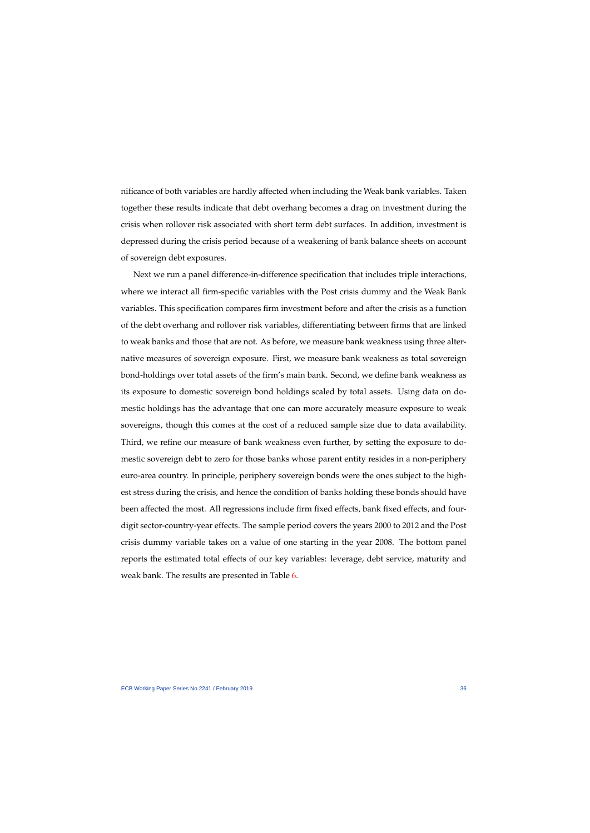nificance of both variables are hardly affected when including the Weak bank variables. Taken together these results indicate that debt overhang becomes a drag on investment during the crisis when rollover risk associated with short term debt surfaces. In addition, investment is depressed during the crisis period because of a weakening of bank balance sheets on account of sovereign debt exposures.

Next we run a panel difference-in-difference specification that includes triple interactions, where we interact all firm-specific variables with the Post crisis dummy and the Weak Bank variables. This specification compares firm investment before and after the crisis as a function of the debt overhang and rollover risk variables, differentiating between firms that are linked to weak banks and those that are not. As before, we measure bank weakness using three alternative measures of sovereign exposure. First, we measure bank weakness as total sovereign bond-holdings over total assets of the firm's main bank. Second, we define bank weakness as its exposure to domestic sovereign bond holdings scaled by total assets. Using data on domestic holdings has the advantage that one can more accurately measure exposure to weak sovereigns, though this comes at the cost of a reduced sample size due to data availability. Third, we refine our measure of bank weakness even further, by setting the exposure to domestic sovereign debt to zero for those banks whose parent entity resides in a non-periphery euro-area country. In principle, periphery sovereign bonds were the ones subject to the highest stress during the crisis, and hence the condition of banks holding these bonds should have been affected the most. All regressions include firm fixed effects, bank fixed effects, and fourdigit sector-country-year effects. The sample period covers the years 2000 to 2012 and the Post crisis dummy variable takes on a value of one starting in the year 2008. The bottom panel reports the estimated total effects of our key variables: leverage, debt service, maturity and weak bank. The results are presented in Table [6.](#page-37-0)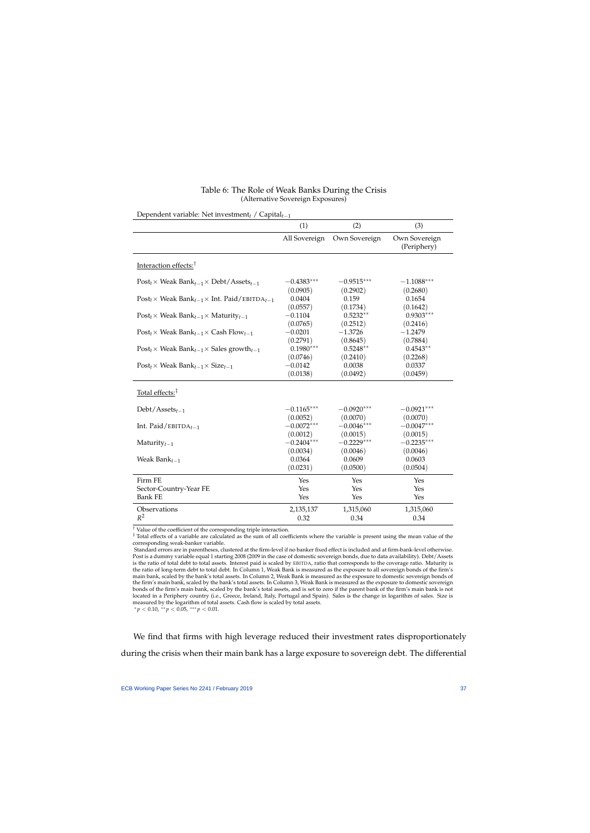<span id="page-37-0"></span>

| Dependent variable: Net investment / $\text{Capital}_{t-1}$                              |               |               |                              |  |  |
|------------------------------------------------------------------------------------------|---------------|---------------|------------------------------|--|--|
|                                                                                          | (1)           | (2)           | (3)                          |  |  |
|                                                                                          | All Sovereign | Own Sovereign | Own Sovereign<br>(Periphery) |  |  |
| Interaction effects: <sup>†</sup>                                                        |               |               |                              |  |  |
| $Post_t \times Weak Bank_{t-1} \times Debt/Assets_{t-1}$                                 | $-0.4383***$  | $-0.9515***$  | $-1.1088***$                 |  |  |
|                                                                                          | (0.0905)      | (0.2902)      | (0.2680)                     |  |  |
| $Post_t \times Weak Bank_{t-1} \times Int. Paid/EBITDA_{t-1}$                            | 0.0404        | 0.159         | 0.1654                       |  |  |
|                                                                                          | (0.0557)      | (0.1734)      | (0.1642)                     |  |  |
| $Post_t \times Weak Bank_{t-1} \times Matrix_{t-1}$                                      | $-0.1104$     | $0.5232**$    | $0.9303***$                  |  |  |
|                                                                                          | (0.0765)      | (0.2512)      | (0.2416)                     |  |  |
| $Post_t \times Weak Bank_{t-1} \times Cash Flow_{t-1}$                                   | $-0.0201$     | $-1.3726$     | $-1.2479$                    |  |  |
|                                                                                          | (0.2791)      | (0.8645)      | (0.7884)                     |  |  |
| Post <sub>t</sub> $\times$ Weak Bank <sub>t-1</sub> $\times$ Sales growth <sub>t-1</sub> | $0.1980***$   | $0.5248**$    | $0.4543**$                   |  |  |
|                                                                                          | (0.0746)      | (0.2410)      | (0.2268)                     |  |  |
| $Post_t \times Weak Bank_{t-1} \times Size_{t-1}$                                        | $-0.0142$     | 0.0038        | 0.0337                       |  |  |
|                                                                                          | (0.0138)      | (0.0492)      | (0.0459)                     |  |  |
| Total effects: <sup>‡</sup>                                                              |               |               |                              |  |  |
| $Debt/Assets_{t-1}$                                                                      | $-0.1165***$  | $-0.0920***$  | $-0.0921***$                 |  |  |
|                                                                                          | (0.0052)      | (0.0070)      | (0.0070)                     |  |  |
| Int. Paid/EBITDA $_{t-1}$                                                                | $-0.0072***$  | $-0.0046***$  | $-0.0047***$                 |  |  |
|                                                                                          | (0.0012)      | (0.0015)      | (0.0015)                     |  |  |
| Maturity $t-1$                                                                           | $-0.2404***$  | $-0.2229***$  | $-0.2235***$                 |  |  |
|                                                                                          | (0.0034)      | (0.0046)      | (0.0046)                     |  |  |
| Weak Ban $k_{t-1}$                                                                       | 0.0364        | 0.0609        | 0.0603                       |  |  |
|                                                                                          | (0.0231)      | (0.0500)      | (0.0504)                     |  |  |
| Firm FE                                                                                  | Yes           | Yes           | Yes                          |  |  |
| Sector-Country-Year FE                                                                   | Yes           | Yes           | Yes                          |  |  |
| <b>Bank FE</b>                                                                           | Yes           | Yes           | Yes                          |  |  |
| Observations                                                                             | 2,135,137     | 1,315,060     | 1,315,060                    |  |  |
| $R^2$                                                                                    | 0.32          | 0.34          | 0.34                         |  |  |

### Table 6: The Role of Weak Banks During the Crisis (Alternative Sovereign Exposures)

 $^\dagger$  Value of the coefficient of the corresponding triple interaction.

‡ Total effects of a variable are calculated as the sum of all coefficients where the variable is present using the mean value of the corresponding weak-banker variable.

Standard errors are in parentheses, clustered at the firm-level if no banker fixed effect is included and at firm-bank-level otherwise. Post is a dummy variable equal 1 starting 2008 (2009 in the case of domestic sovereign bonds, due to data availability). Debt/Assets is the ratio of total debt to total assets. Interest paid is scaled by EBITDA, ratio that corresponds to the coverage ratio. Maturity is the ratio of long-term debt to total debt. In Column 1, Weak Bank is measured as the exposure to all sovereign bonds of the firm's main bank, scaled by the bank's total assets. In Column 2, Weak Bank is measured as the exposure to domestic sovereign bonds of the firm's main bank, scaled by the bank's total assets. In Column 3, Weak Bank is measured as the exposure to domestic sovereign bonds of the firm's main bank, scaled by the bank's total assets, and is set to zero if the parent bank of the firm's main bank is not located in a Periphery country (i.e., Greece, Ireland, Italy, Portugal and Spain). Sales is the change in logarithm of sales. Size is measured by the logarithm of total assets. Cash flow is scaled by total assets.

 $* p < 0.10, ** p < 0.05, ** p < 0.01.$ 

We find that firms with high leverage reduced their investment rates disproportionately during the crisis when their main bank has a large exposure to sovereign debt. The differential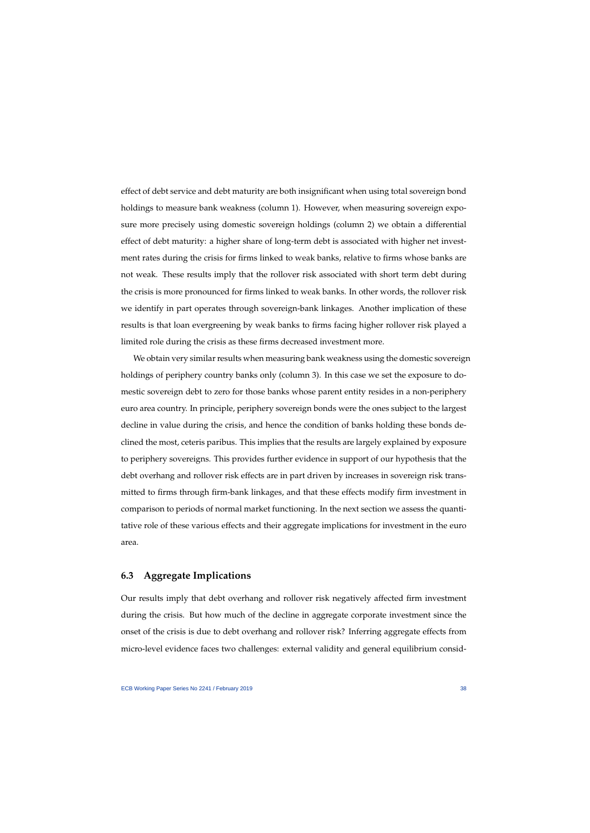effect of debt service and debt maturity are both insignificant when using total sovereign bond holdings to measure bank weakness (column 1). However, when measuring sovereign exposure more precisely using domestic sovereign holdings (column 2) we obtain a differential effect of debt maturity: a higher share of long-term debt is associated with higher net investment rates during the crisis for firms linked to weak banks, relative to firms whose banks are not weak. These results imply that the rollover risk associated with short term debt during the crisis is more pronounced for firms linked to weak banks. In other words, the rollover risk we identify in part operates through sovereign-bank linkages. Another implication of these results is that loan evergreening by weak banks to firms facing higher rollover risk played a limited role during the crisis as these firms decreased investment more.

We obtain very similar results when measuring bank weakness using the domestic sovereign holdings of periphery country banks only (column 3). In this case we set the exposure to domestic sovereign debt to zero for those banks whose parent entity resides in a non-periphery euro area country. In principle, periphery sovereign bonds were the ones subject to the largest decline in value during the crisis, and hence the condition of banks holding these bonds declined the most, ceteris paribus. This implies that the results are largely explained by exposure to periphery sovereigns. This provides further evidence in support of our hypothesis that the debt overhang and rollover risk effects are in part driven by increases in sovereign risk transmitted to firms through firm-bank linkages, and that these effects modify firm investment in comparison to periods of normal market functioning. In the next section we assess the quantitative role of these various effects and their aggregate implications for investment in the euro area.

## **6.3 Aggregate Implications**

Our results imply that debt overhang and rollover risk negatively affected firm investment during the crisis. But how much of the decline in aggregate corporate investment since the onset of the crisis is due to debt overhang and rollover risk? Inferring aggregate effects from micro-level evidence faces two challenges: external validity and general equilibrium consid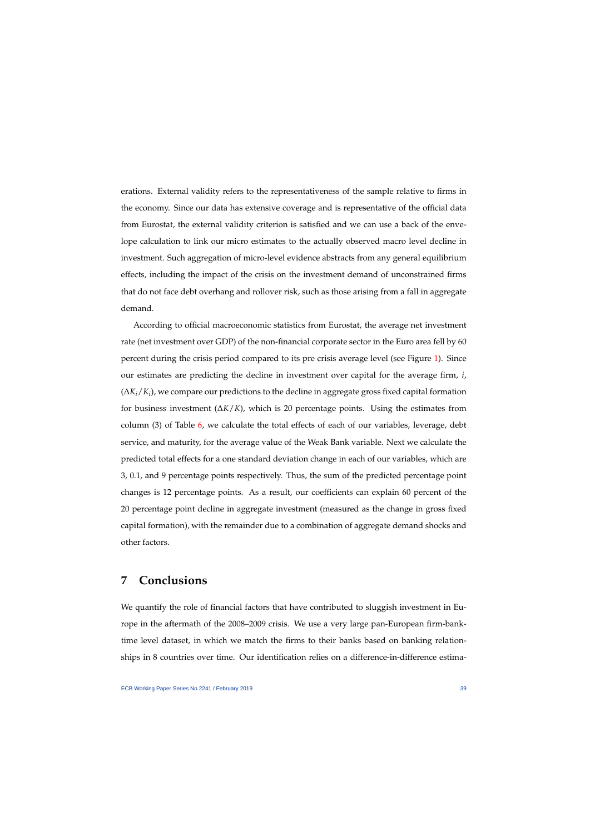erations. External validity refers to the representativeness of the sample relative to firms in the economy. Since our data has extensive coverage and is representative of the official data from Eurostat, the external validity criterion is satisfied and we can use a back of the envelope calculation to link our micro estimates to the actually observed macro level decline in investment. Such aggregation of micro-level evidence abstracts from any general equilibrium effects, including the impact of the crisis on the investment demand of unconstrained firms that do not face debt overhang and rollover risk, such as those arising from a fall in aggregate demand.

According to official macroeconomic statistics from Eurostat, the average net investment rate (net investment over GDP) of the non-financial corporate sector in the Euro area fell by 60 percent during the crisis period compared to its pre crisis average level (see Figure [1\)](#page-5-0). Since our estimates are predicting the decline in investment over capital for the average firm, *i*, (∆*Ki*/*K<sup>i</sup>* ), we compare our predictions to the decline in aggregate gross fixed capital formation for business investment (∆*K*/*K*), which is 20 percentage points. Using the estimates from column  $(3)$  of Table  $6$ , we calculate the total effects of each of our variables, leverage, debt service, and maturity, for the average value of the Weak Bank variable. Next we calculate the predicted total effects for a one standard deviation change in each of our variables, which are 3, 0.1, and 9 percentage points respectively. Thus, the sum of the predicted percentage point changes is 12 percentage points. As a result, our coefficients can explain 60 percent of the 20 percentage point decline in aggregate investment (measured as the change in gross fixed capital formation), with the remainder due to a combination of aggregate demand shocks and other factors.

# **7 Conclusions**

We quantify the role of financial factors that have contributed to sluggish investment in Europe in the aftermath of the 2008–2009 crisis. We use a very large pan-European firm-banktime level dataset, in which we match the firms to their banks based on banking relationships in 8 countries over time. Our identification relies on a difference-in-difference estima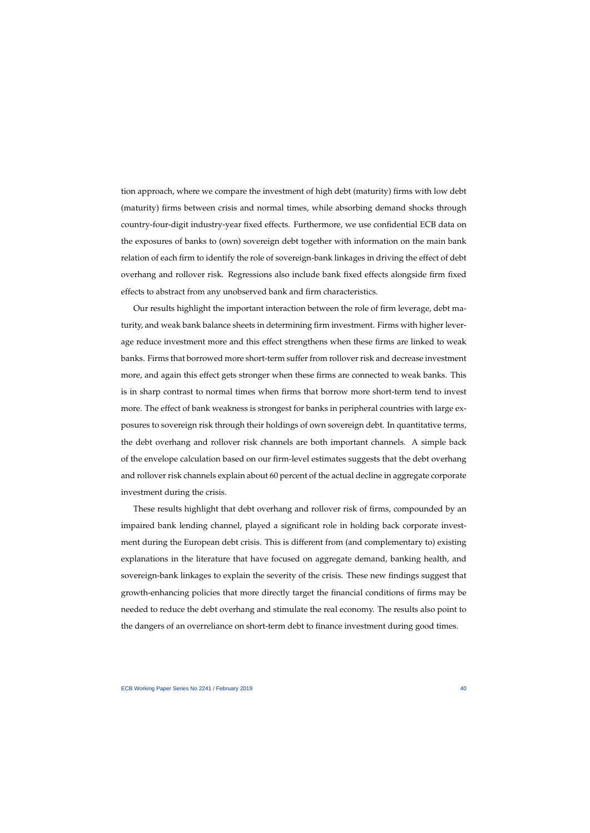tion approach, where we compare the investment of high debt (maturity) firms with low debt (maturity) firms between crisis and normal times, while absorbing demand shocks through country-four-digit industry-year fixed effects. Furthermore, we use confidential ECB data on the exposures of banks to (own) sovereign debt together with information on the main bank relation of each firm to identify the role of sovereign-bank linkages in driving the effect of debt overhang and rollover risk. Regressions also include bank fixed effects alongside firm fixed effects to abstract from any unobserved bank and firm characteristics.

Our results highlight the important interaction between the role of firm leverage, debt maturity, and weak bank balance sheets in determining firm investment. Firms with higher leverage reduce investment more and this effect strengthens when these firms are linked to weak banks. Firms that borrowed more short-term suffer from rollover risk and decrease investment more, and again this effect gets stronger when these firms are connected to weak banks. This is in sharp contrast to normal times when firms that borrow more short-term tend to invest more. The effect of bank weakness is strongest for banks in peripheral countries with large exposures to sovereign risk through their holdings of own sovereign debt. In quantitative terms, the debt overhang and rollover risk channels are both important channels. A simple back of the envelope calculation based on our firm-level estimates suggests that the debt overhang and rollover risk channels explain about 60 percent of the actual decline in aggregate corporate investment during the crisis.

These results highlight that debt overhang and rollover risk of firms, compounded by an impaired bank lending channel, played a significant role in holding back corporate investment during the European debt crisis. This is different from (and complementary to) existing explanations in the literature that have focused on aggregate demand, banking health, and sovereign-bank linkages to explain the severity of the crisis. These new findings suggest that growth-enhancing policies that more directly target the financial conditions of firms may be needed to reduce the debt overhang and stimulate the real economy. The results also point to the dangers of an overreliance on short-term debt to finance investment during good times.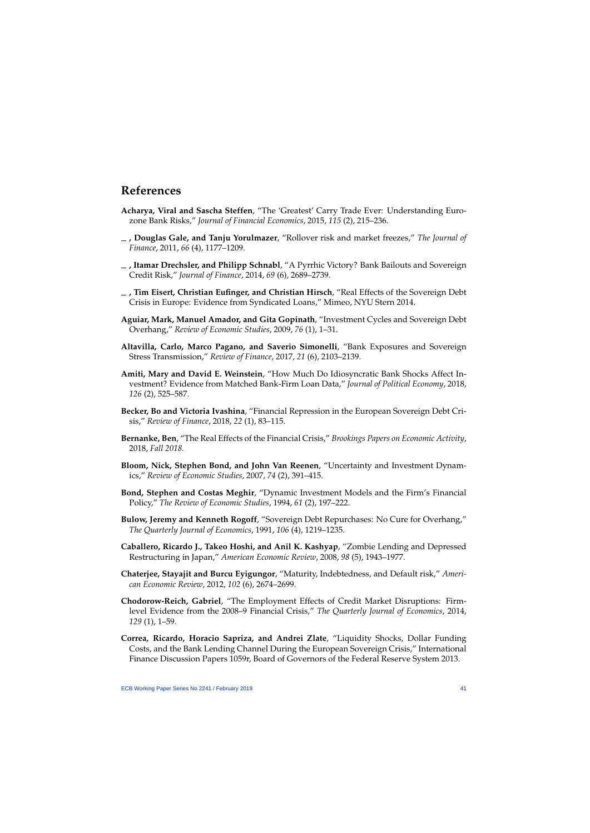# **References**

- **Acharya, Viral and Sascha Steffen**, "The 'Greatest' Carry Trade Ever: Understanding Eurozone Bank Risks," *Journal of Financial Economics*, 2015, *115* (2), 215–236.
- **, Douglas Gale, and Tanju Yorulmazer**, "Rollover risk and market freezes," *The Journal of Finance*, 2011, *66* (4), 1177–1209.
- **, Itamar Drechsler, and Philipp Schnabl**, "A Pyrrhic Victory? Bank Bailouts and Sovereign Credit Risk," *Journal of Finance*, 2014, *69* (6), 2689–2739.
- **, Tim Eisert, Christian Eufinger, and Christian Hirsch**, "Real Effects of the Sovereign Debt Crisis in Europe: Evidence from Syndicated Loans," Mimeo, NYU Stern 2014.
- **Aguiar, Mark, Manuel Amador, and Gita Gopinath**, "Investment Cycles and Sovereign Debt Overhang," *Review of Economic Studies*, 2009, *76* (1), 1–31.
- <span id="page-41-11"></span>**Altavilla, Carlo, Marco Pagano, and Saverio Simonelli**, "Bank Exposures and Sovereign Stress Transmission," *Review of Finance*, 2017, *21* (6), 2103–2139.
- <span id="page-41-3"></span>**Amiti, Mary and David E. Weinstein**, "How Much Do Idiosyncratic Bank Shocks Affect Investment? Evidence from Matched Bank-Firm Loan Data," *Journal of Political Economy*, 2018, *126* (2), 525–587.
- <span id="page-41-10"></span>**Becker, Bo and Victoria Ivashina**, "Financial Repression in the European Sovereign Debt Crisis," *Review of Finance*, 2018, *22* (1), 83–115.
- <span id="page-41-4"></span>**Bernanke, Ben**, "The Real Effects of the Financial Crisis," *Brookings Papers on Economic Activity*, 2018, *Fall 2018.*
- <span id="page-41-2"></span>**Bloom, Nick, Stephen Bond, and John Van Reenen**, "Uncertainty and Investment Dynamics," *Review of Economic Studies*, 2007, *74* (2), 391–415.
- <span id="page-41-12"></span>**Bond, Stephen and Costas Meghir**, "Dynamic Investment Models and the Firm's Financial Policy," *The Review of Economic Studies*, 1994, *61* (2), 197–222.
- <span id="page-41-7"></span>**Bulow, Jeremy and Kenneth Rogoff**, "Sovereign Debt Repurchases: No Cure for Overhang," *The Quarterly Journal of Economics*, 1991, *106* (4), 1219–1235.
- <span id="page-41-6"></span>**Caballero, Ricardo J., Takeo Hoshi, and Anil K. Kashyap**, "Zombie Lending and Depressed Restructuring in Japan," *American Economic Review*, 2008, *98* (5), 1943–1977.
- <span id="page-41-0"></span>**Chaterjee, Stayajit and Burcu Eyigungor**, "Maturity, Indebtedness, and Default risk," *American Economic Review*, 2012, *102* (6), 2674–2699.
- <span id="page-41-14"></span>**Chodorow-Reich, Gabriel**, "The Employment Effects of Credit Market Disruptions: Firmlevel Evidence from the 2008–9 Financial Crisis," *The Quarterly Journal of Economics*, 2014, *129* (1), 1–59.
- <span id="page-41-15"></span><span id="page-41-13"></span><span id="page-41-9"></span><span id="page-41-8"></span><span id="page-41-5"></span><span id="page-41-1"></span>**Correa, Ricardo, Horacio Sapriza, and Andrei Zlate**, "Liquidity Shocks, Dollar Funding Costs, and the Bank Lending Channel During the European Sovereign Crisis," International Finance Discussion Papers 1059r, Board of Governors of the Federal Reserve System 2013.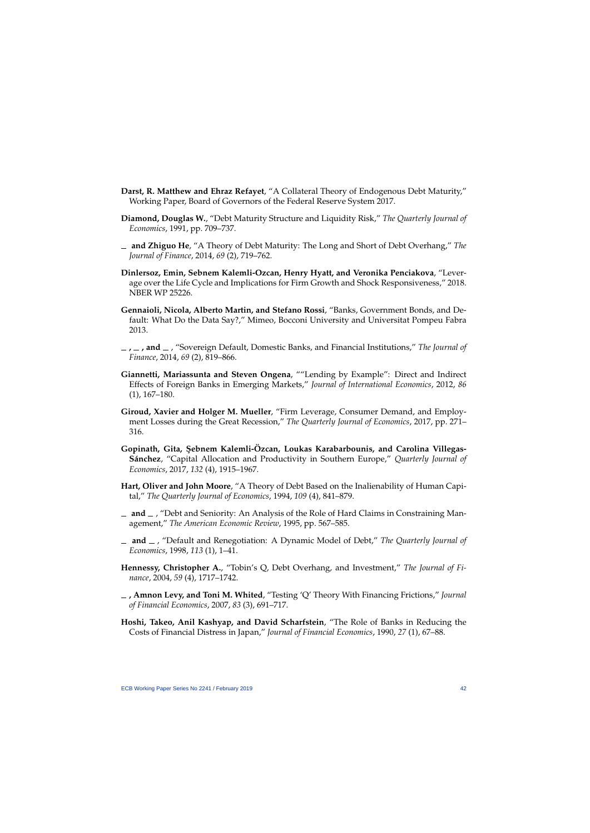- **Darst, R. Matthew and Ehraz Refayet**, "A Collateral Theory of Endogenous Debt Maturity," Working Paper, Board of Governors of the Federal Reserve System 2017.
- **Diamond, Douglas W.**, "Debt Maturity Structure and Liquidity Risk," *The Quarterly Journal of Economics*, 1991, pp. 709–737.
- **and Zhiguo He**, "A Theory of Debt Maturity: The Long and Short of Debt Overhang," *The Journal of Finance*, 2014, *69* (2), 719–762.
- **Dinlersoz, Emin, Sebnem Kalemli-Ozcan, Henry Hyatt, and Veronika Penciakova**, "Leverage over the Life Cycle and Implications for Firm Growth and Shock Responsiveness," 2018. NBER WP 25226.
- <span id="page-42-11"></span>**Gennaioli, Nicola, Alberto Martin, and Stefano Rossi**, "Banks, Government Bonds, and Default: What Do the Data Say?," Mimeo, Bocconi University and Universitat Pompeu Fabra 2013.
- <span id="page-42-1"></span>**, , and** , "Sovereign Default, Domestic Banks, and Financial Institutions," *The Journal of Finance*, 2014, *69* (2), 819–866.
- <span id="page-42-2"></span>**Giannetti, Mariassunta and Steven Ongena**, ""Lending by Example": Direct and Indirect Effects of Foreign Banks in Emerging Markets," *Journal of International Economics*, 2012, *86* (1), 167–180.
- <span id="page-42-0"></span>**Giroud, Xavier and Holger M. Mueller**, "Firm Leverage, Consumer Demand, and Employment Losses during the Great Recession," *The Quarterly Journal of Economics*, 2017, pp. 271– 316.
- <span id="page-42-7"></span>**Gopinath, Gita, ¸Sebnem Kalemli-Özcan, Loukas Karabarbounis, and Carolina Villegas-Sánchez**, "Capital Allocation and Productivity in Southern Europe," *Quarterly Journal of Economics*, 2017, *132* (4), 1915–1967.
- <span id="page-42-3"></span>**Hart, Oliver and John Moore**, "A Theory of Debt Based on the Inalienability of Human Capital," *The Quarterly Journal of Economics*, 1994, *109* (4), 841–879.
- <span id="page-42-14"></span> $\Box$  and  $\Box$ , "Debt and Seniority: An Analysis of the Role of Hard Claims in Constraining Management," *The American Economic Review*, 1995, pp. 567–585.
- <span id="page-42-5"></span>**and** , "Default and Renegotiation: A Dynamic Model of Debt," *The Quarterly Journal of Economics*, 1998, *113* (1), 1–41.
- **Hennessy, Christopher A.**, "Tobin's Q, Debt Overhang, and Investment," *The Journal of Finance*, 2004, *59* (4), 1717–1742.
- <span id="page-42-6"></span>**, Amnon Levy, and Toni M. Whited**, "Testing 'Q' Theory With Financing Frictions," *Journal of Financial Economics*, 2007, *83* (3), 691–717.
- <span id="page-42-13"></span><span id="page-42-12"></span><span id="page-42-10"></span><span id="page-42-9"></span><span id="page-42-8"></span><span id="page-42-4"></span>**Hoshi, Takeo, Anil Kashyap, and David Scharfstein**, "The Role of Banks in Reducing the Costs of Financial Distress in Japan," *Journal of Financial Economics*, 1990, *27* (1), 67–88.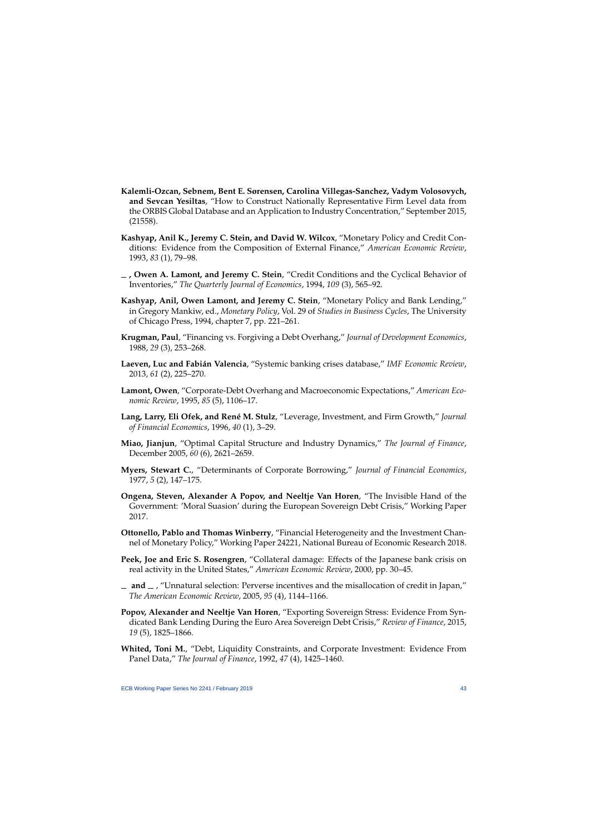- **Kalemli-Ozcan, Sebnem, Bent E. Sørensen, Carolina Villegas-Sanchez, Vadym Volosovych, and Sevcan Yesiltas**, "How to Construct Nationally Representative Firm Level data from the ORBIS Global Database and an Application to Industry Concentration," September 2015, (21558).
- **Kashyap, Anil K., Jeremy C. Stein, and David W. Wilcox**, "Monetary Policy and Credit Conditions: Evidence from the Composition of External Finance," *American Economic Review*, 1993, *83* (1), 79–98.
- **, Owen A. Lamont, and Jeremy C. Stein**, "Credit Conditions and the Cyclical Behavior of Inventories," *The Quarterly Journal of Economics*, 1994, *109* (3), 565–92.
- **Kashyap, Anil, Owen Lamont, and Jeremy C. Stein**, "Monetary Policy and Bank Lending," in Gregory Mankiw, ed., *Monetary Policy*, Vol. 29 of *Studies in Business Cycles*, The University of Chicago Press, 1994, chapter 7, pp. 221–261.
- <span id="page-43-0"></span>**Krugman, Paul**, "Financing vs. Forgiving a Debt Overhang," *Journal of Development Economics*, 1988, *29* (3), 253–268.
- <span id="page-43-3"></span>**Laeven, Luc and Fabián Valencia**, "Systemic banking crises database," *IMF Economic Review*, 2013, *61* (2), 225–270.
- **Lamont, Owen**, "Corporate-Debt Overhang and Macroeconomic Expectations," *American Economic Review*, 1995, *85* (5), 1106–17.
- <span id="page-43-4"></span>**Lang, Larry, Eli Ofek, and René M. Stulz**, "Leverage, Investment, and Firm Growth," *Journal of Financial Economics*, 1996, *40* (1), 3–29.
- <span id="page-43-5"></span>**Miao, Jianjun**, "Optimal Capital Structure and Industry Dynamics," *The Journal of Finance*, December 2005, *60* (6), 2621–2659.
- <span id="page-43-2"></span>**Myers, Stewart C.**, "Determinants of Corporate Borrowing," *Journal of Financial Economics*, 1977, *5* (2), 147–175.
- <span id="page-43-12"></span>**Ongena, Steven, Alexander A Popov, and Neeltje Van Horen**, "The Invisible Hand of the Government: 'Moral Suasion' during the European Sovereign Debt Crisis," Working Paper 2017.
- <span id="page-43-14"></span>**Ottonello, Pablo and Thomas Winberry**, "Financial Heterogeneity and the Investment Channel of Monetary Policy," Working Paper 24221, National Bureau of Economic Research 2018.
- <span id="page-43-11"></span>**Peek, Joe and Eric S. Rosengren**, "Collateral damage: Effects of the Japanese bank crisis on real activity in the United States," *American Economic Review*, 2000, pp. 30–45.
- <span id="page-43-15"></span>**and** , "Unnatural selection: Perverse incentives and the misallocation of credit in Japan," *The American Economic Review*, 2005, *95* (4), 1144–1166.
- <span id="page-43-1"></span>**Popov, Alexander and Neeltje Van Horen**, "Exporting Sovereign Stress: Evidence From Syndicated Bank Lending During the Euro Area Sovereign Debt Crisis," *Review of Finance*, 2015, *19* (5), 1825–1866.
- <span id="page-43-13"></span><span id="page-43-10"></span><span id="page-43-9"></span><span id="page-43-8"></span><span id="page-43-7"></span><span id="page-43-6"></span>**Whited, Toni M.**, "Debt, Liquidity Constraints, and Corporate Investment: Evidence From Panel Data," *The Journal of Finance*, 1992, *47* (4), 1425–1460.